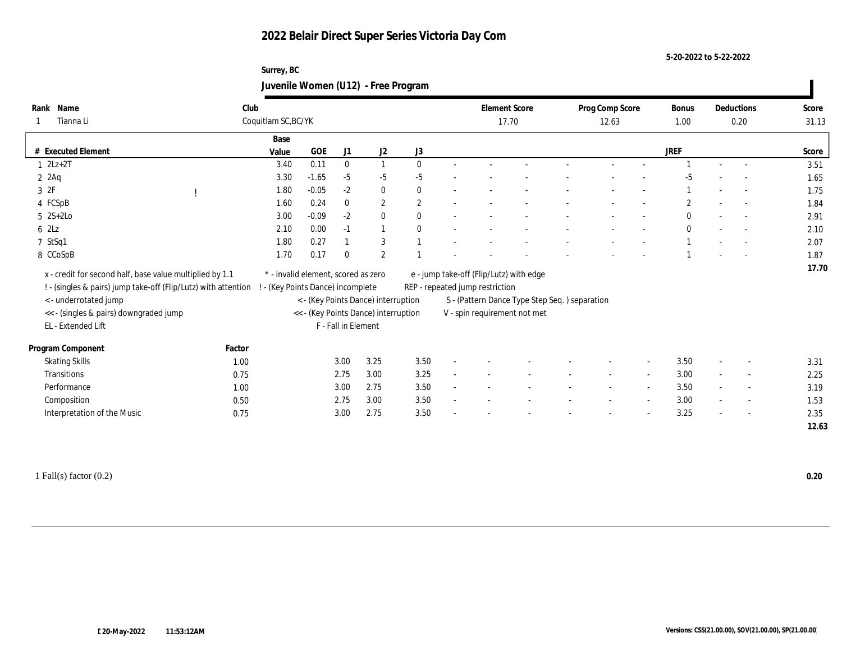#### **5-20-2022 to 5-22-2022**

## **Surrey, BC Juvenile Women (U12) - Free Program**

| Name<br>Rank                                                   | Club   |                                     |         |                     |                                      |                  | <b>Element Score</b>                    |                                               | Prog Comp Score |                          | Bonus          |        | Deductions               | Score |
|----------------------------------------------------------------|--------|-------------------------------------|---------|---------------------|--------------------------------------|------------------|-----------------------------------------|-----------------------------------------------|-----------------|--------------------------|----------------|--------|--------------------------|-------|
| Tianna Li                                                      |        | Coquitlam SC, BC/YK                 |         |                     |                                      |                  |                                         | 17.70                                         | 12.63           |                          | 1.00           |        | 0.20                     | 31.13 |
|                                                                |        | Base                                |         |                     |                                      |                  |                                         |                                               |                 |                          |                |        |                          |       |
| # Executed Element                                             |        | Value                               | GOE     | J1                  | $\mathrm{J}2$                        | $_{\mathrm{J}3}$ |                                         |                                               |                 |                          | <b>JREF</b>    |        |                          | Score |
| $12Lz+2T$                                                      |        | 3.40                                | 0.11    | $\bf{0}$            | $\mathbf{1}$                         | $\theta$         |                                         |                                               |                 |                          |                |        | $\sim$                   | 3.51  |
| $2 \text{ } 2\text{Ag}$                                        |        | 3.30                                | $-1.65$ | $-5$                | $-5$                                 | $-5$             |                                         |                                               |                 |                          | -5             |        |                          | 1.65  |
| 3 2F                                                           |        | 1.80                                | $-0.05$ | $-2$                | $\bf{0}$                             | $\mathbf{0}$     |                                         |                                               |                 |                          |                |        |                          | 1.75  |
| 4 FCSpB                                                        |        | 1.60                                | 0.24    | $\mathbf{0}$        | $\mathbf{2}$                         | $\overline{2}$   |                                         |                                               |                 |                          | $\overline{2}$ |        | $\overline{a}$           | 1.84  |
| $5 \text{ } 2S+2Lo$                                            |        | 3.00                                | $-0.09$ | $-2$                | $\bf{0}$                             | $\theta$         |                                         |                                               |                 |                          | $\theta$       |        | $\overline{\phantom{a}}$ | 2.91  |
| 62Lz                                                           |        | 2.10                                | 0.00    | $-1$                | $\mathbf{1}$                         | $\mathbf{0}$     |                                         |                                               |                 |                          | $\theta$       |        |                          | 2.10  |
| 7 StSq1                                                        |        | 1.80                                | 0.27    |                     | 3                                    |                  |                                         |                                               |                 |                          |                |        |                          | 2.07  |
| 8 CCoSpB                                                       |        | 1.70                                | 0.17    | $\bf{0}$            | 2                                    |                  |                                         |                                               |                 |                          |                |        |                          | 1.87  |
| x - credit for second half, base value multiplied by 1.1       |        | * - invalid element, scored as zero |         |                     |                                      |                  | e - jump take-off (Flip/Lutz) with edge |                                               |                 |                          |                |        |                          | 17.70 |
| ! - (singles & pairs) jump take-off (Flip/Lutz) with attention |        | - (Key Points Dance) incomplete     |         |                     |                                      |                  | REP - repeated jump restriction         |                                               |                 |                          |                |        |                          |       |
| <- underrotated jump                                           |        |                                     |         |                     | < - (Key Points Dance) interruption  |                  |                                         | S - (Pattern Dance Type Step Seq.) separation |                 |                          |                |        |                          |       |
| << - (singles & pairs) downgraded jump                         |        |                                     |         |                     | << - (Key Points Dance) interruption |                  | V - spin requirement not met            |                                               |                 |                          |                |        |                          |       |
| EL - Extended Lift                                             |        |                                     |         | F - Fall in Element |                                      |                  |                                         |                                               |                 |                          |                |        |                          |       |
|                                                                |        |                                     |         |                     |                                      |                  |                                         |                                               |                 |                          |                |        |                          |       |
| Program Component                                              | Factor |                                     |         |                     |                                      |                  |                                         |                                               |                 |                          |                |        |                          |       |
| <b>Skating Skills</b>                                          | 1.00   |                                     |         | 3.00                | 3.25                                 | 3.50             |                                         |                                               |                 | $\overline{\phantom{a}}$ | 3.50           |        | $\overline{\phantom{a}}$ | 3.31  |
| Transitions                                                    | 0.75   |                                     |         | 2.75                | 3.00                                 | 3.25             |                                         |                                               |                 | $\sim$                   | 3.00           | $\sim$ | $\sim$                   | 2.25  |
| Performance                                                    | 1.00   |                                     |         | 3.00                | 2.75                                 | 3.50             |                                         |                                               |                 | $\overline{\phantom{a}}$ | 3.50           | $\sim$ | $\overline{\phantom{a}}$ | 3.19  |
| Composition                                                    | 0.50   |                                     |         | 2.75                | 3.00                                 | 3.50             |                                         |                                               |                 | $\overline{\phantom{a}}$ | 3.00           |        | $\sim$                   | 1.53  |
| Interpretation of the Music                                    | 0.75   |                                     |         | 3.00                | 2.75                                 | 3.50             |                                         |                                               |                 | $\overline{\phantom{a}}$ | 3.25           |        | $\sim$                   | 2.35  |
|                                                                |        |                                     |         |                     |                                      |                  |                                         |                                               |                 |                          |                |        |                          | 12.63 |
|                                                                |        |                                     |         |                     |                                      |                  |                                         |                                               |                 |                          |                |        |                          |       |

1 Fall(s) factor (0.2) **0.20**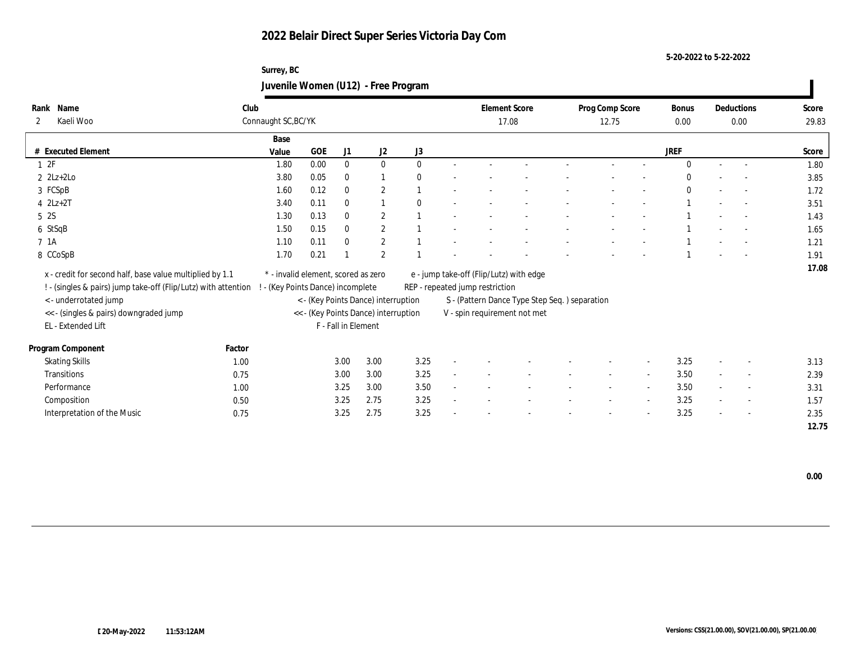**5-20-2022 to 5-22-2022**

## **Surrey, BC Juvenile Women (U12) - Free Program**

| Name<br>Rank                                                   | Club   |                                     |            |                     |                                      |              |                                 | <b>Element Score</b>                           | Prog Comp Score |                          | Bonus        |        | Deductions               | Score |
|----------------------------------------------------------------|--------|-------------------------------------|------------|---------------------|--------------------------------------|--------------|---------------------------------|------------------------------------------------|-----------------|--------------------------|--------------|--------|--------------------------|-------|
| Kaeli Woo<br>2                                                 |        | Connaught SC, BC/YK                 |            |                     |                                      |              |                                 | 17.08                                          | 12.75           |                          | 0.00         |        | 0.00                     | 29.83 |
|                                                                |        | Base                                |            |                     |                                      |              |                                 |                                                |                 |                          |              |        |                          |       |
| $\#$ Executed Element                                          |        | Value                               | <b>GOE</b> | J1                  | J2                                   | J3           |                                 |                                                |                 |                          | <b>JREF</b>  |        |                          | Score |
| 1 2F                                                           |        | 1.80                                | 0.00       | $\bf{0}$            | $\bf{0}$                             | $\theta$     |                                 |                                                |                 |                          | $\mathbf{0}$ | $\sim$ | $\sim$                   | 1.80  |
| $2$ $2Lz+2Lo$                                                  |        | 3.80                                | 0.05       | $\bf{0}$            | 1                                    | $\theta$     |                                 |                                                |                 |                          | $\Omega$     |        |                          | 3.85  |
| 3 FCSpB                                                        |        | 1.60                                | 0.12       | $\bf{0}$            | $\mathbf{2}$                         |              |                                 |                                                |                 |                          | $\bf{0}$     |        |                          | 1.72  |
| $4$ $2Lz+2T$                                                   |        | 3.40                                | 0.11       | $\mathbf{0}$        |                                      | $\mathbf{0}$ |                                 |                                                |                 |                          |              |        | $\sim$                   | 3.51  |
| 5 <sup>2S</sup>                                                |        | 1.30                                | 0.13       | $\bf{0}$            | $\mathbf{2}$                         |              |                                 |                                                |                 |                          |              |        |                          | 1.43  |
| 6 StSqB                                                        |        | 1.50                                | 0.15       | $\mathbf{0}$        | $\boldsymbol{2}$                     |              |                                 |                                                |                 |                          |              |        |                          | 1.65  |
| 7 1A                                                           |        | 1.10                                | 0.11       | $\bf{0}$            | $\mathbf{2}$                         |              |                                 |                                                |                 |                          |              |        |                          | 1.21  |
| 8 CCoSpB                                                       |        | 1.70                                | 0.21       |                     | $\mathbf{2}$                         |              |                                 |                                                |                 |                          |              |        |                          | 1.91  |
| x - credit for second half, base value multiplied by 1.1       |        | * - invalid element, scored as zero |            |                     |                                      |              |                                 | e - jump take-off (Flip/Lutz) with edge        |                 |                          |              |        |                          | 17.08 |
| ! - (singles & pairs) jump take-off (Flip/Lutz) with attention |        | - (Key Points Dance) incomplete     |            |                     |                                      |              | REP - repeated jump restriction |                                                |                 |                          |              |        |                          |       |
| < - underrotated jump                                          |        |                                     |            |                     | < - (Key Points Dance) interruption  |              |                                 | S - (Pattern Dance Type Step Seq. ) separation |                 |                          |              |        |                          |       |
| << - (singles & pairs) downgraded jump                         |        |                                     |            |                     | << - (Key Points Dance) interruption |              |                                 | V - spin requirement not met                   |                 |                          |              |        |                          |       |
| EL - Extended Lift                                             |        |                                     |            | F - Fall in Element |                                      |              |                                 |                                                |                 |                          |              |        |                          |       |
|                                                                |        |                                     |            |                     |                                      |              |                                 |                                                |                 |                          |              |        |                          |       |
| Program Component                                              | Factor |                                     |            |                     |                                      |              |                                 |                                                |                 |                          |              |        |                          |       |
| <b>Skating Skills</b>                                          | 1.00   |                                     |            | 3.00                | 3.00                                 | 3.25         |                                 |                                                |                 |                          | 3.25         |        | $\overline{\phantom{a}}$ | 3.13  |
| Transitions                                                    | 0.75   |                                     |            | 3.00                | 3.00                                 | 3.25         |                                 |                                                | $\sim$          | $\overline{\phantom{a}}$ | 3.50         | $\sim$ | $\sim$                   | 2.39  |
| Performance                                                    | 1.00   |                                     |            | 3.25                | 3.00                                 | 3.50         |                                 |                                                |                 | $\overline{\phantom{a}}$ | 3.50         |        | $\overline{\phantom{a}}$ | 3.31  |
| Composition                                                    | 0.50   |                                     |            | 3.25                | 2.75                                 | 3.25         |                                 |                                                |                 |                          | 3.25         |        | $\overline{\phantom{a}}$ | 1.57  |
| Interpretation of the Music                                    | 0.75   |                                     |            | 3.25                | 2.75                                 | 3.25         |                                 |                                                |                 |                          | 3.25         |        | $\sim$                   | 2.35  |
|                                                                |        |                                     |            |                     |                                      |              |                                 |                                                |                 |                          |              |        |                          | 12.75 |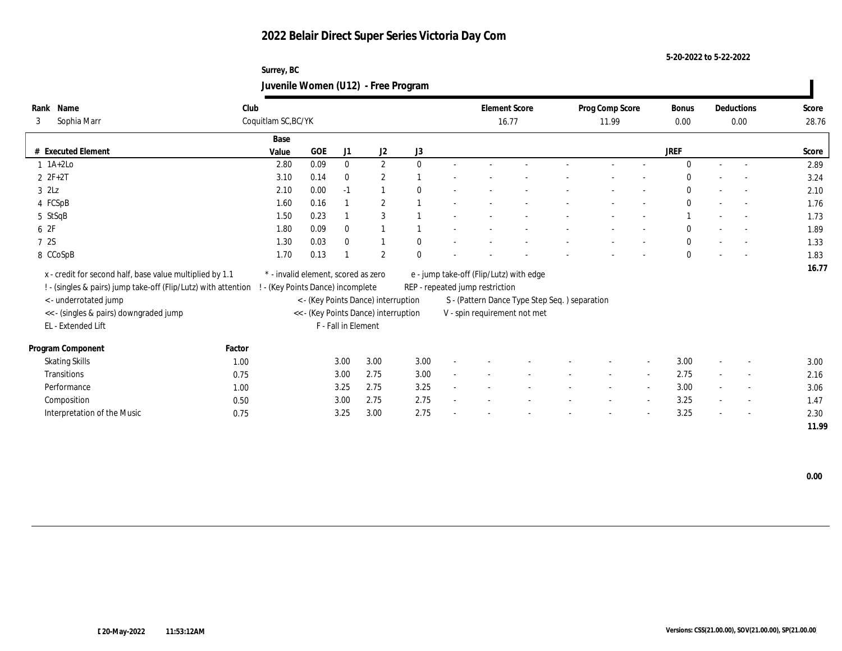**5-20-2022 to 5-22-2022**

## **Surrey, BC Juvenile Women (U12) - Free Program**

| Name<br>Rank                                                                                     | Club                |                                     |            |                     |                                      |              |                                 | <b>Element Score</b>                          | Prog Comp Score |       |                          | <b>Bonus</b> |                          | Deductions               | Score |
|--------------------------------------------------------------------------------------------------|---------------------|-------------------------------------|------------|---------------------|--------------------------------------|--------------|---------------------------------|-----------------------------------------------|-----------------|-------|--------------------------|--------------|--------------------------|--------------------------|-------|
| Sophia Marr<br>3                                                                                 | Coquitlam SC, BC/YK |                                     |            |                     |                                      |              |                                 | 16.77                                         |                 | 11.99 |                          | 0.00         |                          | 0.00                     | 28.76 |
|                                                                                                  |                     | Base                                |            |                     |                                      |              |                                 |                                               |                 |       |                          |              |                          |                          |       |
| # Executed Element                                                                               |                     | Value                               | <b>GOE</b> | J1                  | $\mathrm{J}2$                        | $\rm J3$     |                                 |                                               |                 |       |                          | <b>JREF</b>  |                          |                          | Score |
| $1$ 1A+2Lo                                                                                       |                     | 2.80                                | 0.09       | $\bf{0}$            | $\mathbf{2}$                         | $\mathbf{0}$ |                                 |                                               |                 |       |                          | $\Omega$     |                          | $\overline{a}$           | 2.89  |
| $2 F+2T$                                                                                         |                     | 3.10                                | 0.14       | $\bf{0}$            | $\boldsymbol{2}$                     |              |                                 |                                               |                 |       |                          | $\Omega$     |                          |                          | 3.24  |
| $3$ $2\text{L}z$                                                                                 |                     | 2.10                                | 0.00       | $-1$                | $\overline{1}$                       | $\mathbf{0}$ |                                 |                                               |                 |       |                          | $\bf{0}$     |                          |                          | 2.10  |
| 4 FCSpB                                                                                          |                     | 1.60                                | 0.16       |                     | $\overline{2}$                       |              |                                 |                                               |                 |       |                          | $\mathbf{0}$ |                          | $\overline{a}$           | 1.76  |
| 5 StSqB                                                                                          |                     | 1.50                                | 0.23       |                     | 3                                    |              |                                 |                                               |                 |       |                          |              |                          | $\sim$                   | 1.73  |
| 6 2F                                                                                             |                     | 1.80                                | 0.09       | $\mathbf{0}$        | 1                                    |              |                                 |                                               |                 |       |                          | $\mathbf{0}$ |                          | $\sim$                   | 1.89  |
| 7 2S                                                                                             |                     | 1.30                                | 0.03       | $\bf{0}$            |                                      | $\mathbf{0}$ |                                 |                                               |                 |       |                          | $\mathbf{0}$ |                          |                          | 1.33  |
| 8 CCoSpB                                                                                         |                     | 1.70                                | 0.13       |                     | $\boldsymbol{2}$                     | $\Omega$     |                                 |                                               |                 |       |                          | $\mathbf{0}$ |                          |                          | 1.83  |
| x - credit for second half, base value multiplied by 1.1                                         |                     | * - invalid element, scored as zero |            |                     |                                      |              |                                 | e - jump take-off (Flip/Lutz) with edge       |                 |       |                          |              |                          |                          | 16.77 |
| ! - (singles & pairs) jump take-off (Flip/Lutz) with attention ! - (Key Points Dance) incomplete |                     |                                     |            |                     |                                      |              | REP - repeated jump restriction |                                               |                 |       |                          |              |                          |                          |       |
| <- underrotated jump                                                                             |                     |                                     |            |                     | < - (Key Points Dance) interruption  |              |                                 | S - (Pattern Dance Type Step Seq.) separation |                 |       |                          |              |                          |                          |       |
| << - (singles & pairs) downgraded jump                                                           |                     |                                     |            |                     | << - (Key Points Dance) interruption |              |                                 | V - spin requirement not met                  |                 |       |                          |              |                          |                          |       |
| EL - Extended Lift                                                                               |                     |                                     |            | F - Fall in Element |                                      |              |                                 |                                               |                 |       |                          |              |                          |                          |       |
|                                                                                                  |                     |                                     |            |                     |                                      |              |                                 |                                               |                 |       |                          |              |                          |                          |       |
| Program Component                                                                                | Factor              |                                     |            |                     |                                      |              |                                 |                                               |                 |       |                          |              |                          |                          |       |
| <b>Skating Skills</b>                                                                            | 1.00                |                                     |            | 3.00                | 3.00                                 | 3.00         |                                 |                                               |                 |       | $\overline{\phantom{a}}$ | 3.00         |                          | $\overline{\phantom{a}}$ | 3.00  |
| <b>Transitions</b>                                                                               | 0.75                |                                     |            | 3.00                | 2.75                                 | 3.00         |                                 |                                               |                 |       | $\sim$                   | 2.75         |                          | $\overline{\phantom{a}}$ | 2.16  |
| Performance                                                                                      | 1.00                |                                     |            | 3.25                | 2.75                                 | 3.25         |                                 |                                               |                 |       | $\overline{\phantom{a}}$ | 3.00         |                          | $\overline{\phantom{a}}$ | 3.06  |
| Composition                                                                                      | 0.50                |                                     |            | 3.00                | 2.75                                 | 2.75         |                                 |                                               |                 |       | $\overline{\phantom{a}}$ | 3.25         |                          | $\sim$                   | 1.47  |
| Interpretation of the Music                                                                      | 0.75                |                                     |            | 3.25                | 3.00                                 | 2.75         |                                 |                                               |                 |       | $\overline{\phantom{a}}$ | 3.25         | $\overline{\phantom{a}}$ | $\sim$                   | 2.30  |
|                                                                                                  |                     |                                     |            |                     |                                      |              |                                 |                                               |                 |       |                          |              |                          |                          | 11.99 |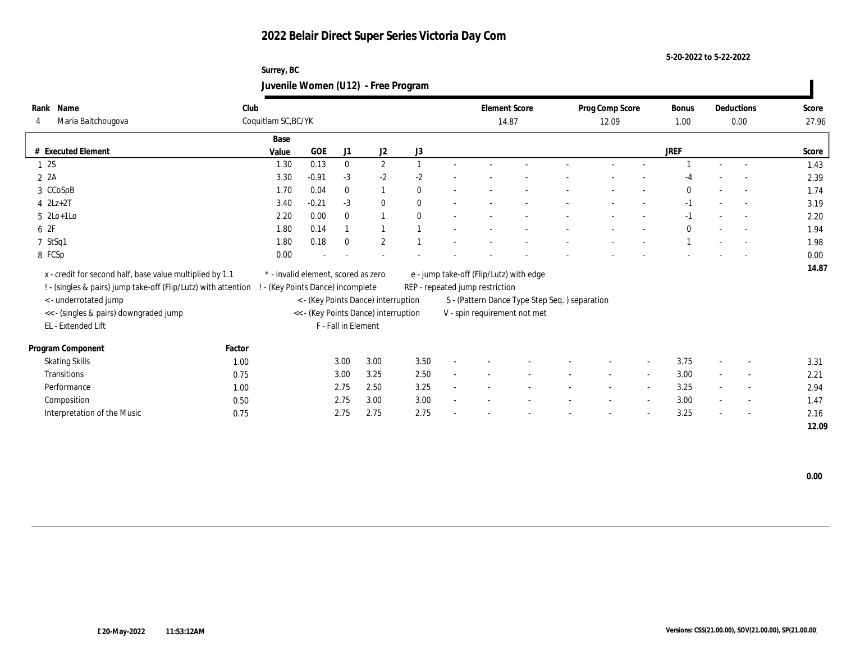#### **5-20-2022 to 5-22-2022**

## **Surrey, BC Juvenile Women (U12) - Free Program**

|          | Rank Name                                                      | Club   |                                     |            |                     |                                      |              |                                               | <b>Element Score</b> |  | Prog Comp Score |        | Bonus        |        | Deductions               | Score |
|----------|----------------------------------------------------------------|--------|-------------------------------------|------------|---------------------|--------------------------------------|--------------|-----------------------------------------------|----------------------|--|-----------------|--------|--------------|--------|--------------------------|-------|
| 4        | Maria Baltchougova                                             |        | Coquitlam SC, BC/YK                 |            |                     |                                      |              |                                               | 14.87                |  | 12.09           |        | 1.00         |        | 0.00                     | 27.96 |
|          |                                                                |        | Base                                |            |                     |                                      |              |                                               |                      |  |                 |        |              |        |                          |       |
|          | # Executed Element                                             |        | Value                               | <b>GOE</b> | J1                  | J2                                   | J3           |                                               |                      |  |                 |        | <b>JREF</b>  |        |                          | Score |
|          | 12S                                                            |        | 1.30                                | 0.13       | $\bf{0}$            | $\boldsymbol{2}$                     |              |                                               |                      |  |                 |        |              |        |                          | 1.43  |
| $2 \t2A$ |                                                                |        | 3.30                                | $-0.91$    | $-3$                | $-2$                                 | $-2$         |                                               |                      |  |                 |        | -4           |        |                          | 2.39  |
|          | 3 CCoSpB                                                       |        | 1.70                                | 0.04       | $\mathbf{0}$        | 1                                    | $\mathbf{0}$ |                                               |                      |  |                 |        | $\mathbf{0}$ |        |                          | 1.74  |
|          | $4$ $2Lz+2T$                                                   |        | 3.40                                | $-0.21$    | $-3$                | $\bf{0}$                             | $\theta$     |                                               |                      |  |                 |        | $-1$         |        | $\sim$                   | 3.19  |
|          | $5 \ \ 2Lo+1Lo$                                                |        | 2.20                                | 0.00       | $\mathbf{0}$        | $\overline{1}$                       | $\theta$     |                                               |                      |  |                 |        | $-1$         |        | $\sim$                   | 2.20  |
| 6 2F     |                                                                |        | 1.80                                | 0.14       |                     | $\overline{1}$                       |              |                                               |                      |  |                 |        | $\mathbf{0}$ |        | $\sim$                   | 1.94  |
|          | 7 StSq1                                                        |        | 1.80                                | 0.18       | $\theta$            | $\boldsymbol{2}$                     |              |                                               |                      |  |                 |        |              |        |                          | 1.98  |
|          | 8 FCSp                                                         |        | 0.00                                |            |                     |                                      |              |                                               |                      |  |                 |        |              |        |                          | 0.00  |
|          | x - credit for second half, base value multiplied by 1.1       |        | * - invalid element, scored as zero |            |                     |                                      |              | e - jump take-off (Flip/Lutz) with edge       |                      |  |                 |        |              |        |                          | 14.87 |
|          | ! - (singles & pairs) jump take-off (Flip/Lutz) with attention |        | - (Key Points Dance) incomplete     |            |                     |                                      |              | REP - repeated jump restriction               |                      |  |                 |        |              |        |                          |       |
|          | <- underrotated jump                                           |        |                                     |            |                     | < - (Key Points Dance) interruption  |              | S - (Pattern Dance Type Step Seq.) separation |                      |  |                 |        |              |        |                          |       |
|          | << - (singles & pairs) downgraded jump                         |        |                                     |            |                     | << - (Key Points Dance) interruption |              | V - spin requirement not met                  |                      |  |                 |        |              |        |                          |       |
|          | EL - Extended Lift                                             |        |                                     |            | F - Fall in Element |                                      |              |                                               |                      |  |                 |        |              |        |                          |       |
|          |                                                                |        |                                     |            |                     |                                      |              |                                               |                      |  |                 |        |              |        |                          |       |
|          | Program Component                                              | Factor |                                     |            |                     |                                      |              |                                               |                      |  |                 |        |              |        |                          |       |
|          | <b>Skating Skills</b>                                          | 1.00   |                                     |            | 3.00                | 3.00                                 | 3.50         |                                               |                      |  |                 | $\sim$ | 3.75         |        | $\overline{\phantom{a}}$ | 3.31  |
|          | Transitions                                                    | 0.75   |                                     |            | 3.00                | 3.25                                 | 2.50         |                                               |                      |  | $\sim$          | $\sim$ | 3.00         | $\sim$ | $\sim$                   | 2.21  |
|          | Performance                                                    | 1.00   |                                     |            | 2.75                | 2.50                                 | 3.25         |                                               |                      |  |                 | $\sim$ | 3.25         |        | $\overline{\phantom{a}}$ | 2.94  |
|          | Composition                                                    | 0.50   |                                     |            | 2.75                | 3.00                                 | 3.00         |                                               |                      |  |                 | $\sim$ | 3.00         |        | $\overline{\phantom{a}}$ | 1.47  |
|          | Interpretation of the Music                                    | 0.75   |                                     |            | 2.75                | 2.75                                 | 2.75         |                                               |                      |  |                 |        | 3.25         |        | $\sim$                   | 2.16  |
|          |                                                                |        |                                     |            |                     |                                      |              |                                               |                      |  |                 |        |              |        |                          | 12.09 |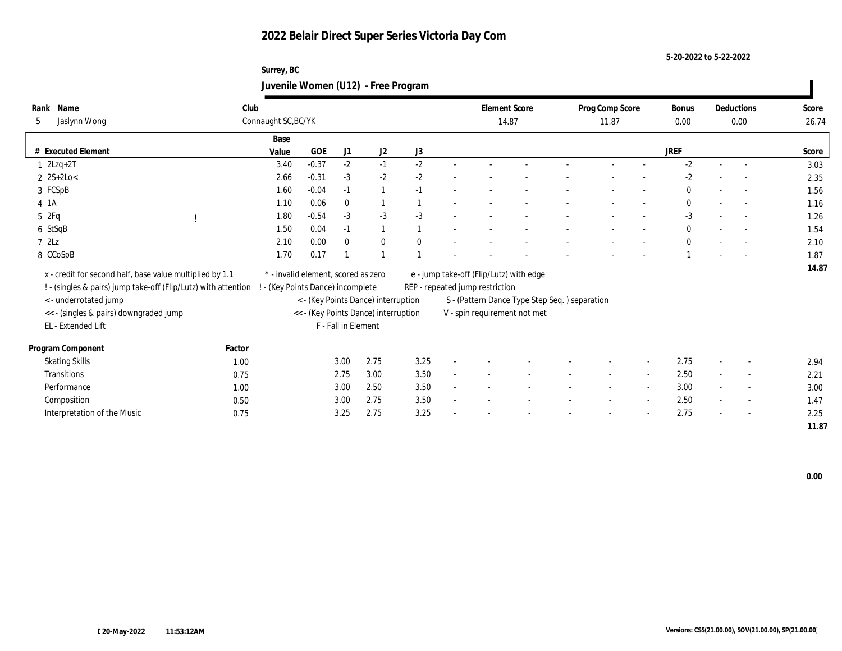**5-20-2022 to 5-22-2022**

## **Surrey, BC Juvenile Women (U12) - Free Program**

| Name<br>Rank                                                   | Club   |                                     |            |                     |                                      |              |                                 | <b>Element Score</b>                          | Prog Comp Score |                          | <b>Bonus</b> |        | Deductions               | Score |
|----------------------------------------------------------------|--------|-------------------------------------|------------|---------------------|--------------------------------------|--------------|---------------------------------|-----------------------------------------------|-----------------|--------------------------|--------------|--------|--------------------------|-------|
| Jaslynn Wong<br>5                                              |        | Connaught SC, BC/YK                 |            |                     |                                      |              |                                 | 14.87                                         | 11.87           |                          | $0.00\,$     |        | 0.00                     | 26.74 |
|                                                                |        | Base                                |            |                     |                                      |              |                                 |                                               |                 |                          |              |        |                          |       |
| # Executed Element                                             |        | Value                               | <b>GOE</b> | J1                  | J2                                   | J3           |                                 |                                               |                 |                          | <b>JREF</b>  |        |                          | Score |
| $1$ $2Lzq+2T$                                                  |        | 3.40                                | $-0.37$    | $-2$                | $-1$                                 | $-2$         |                                 |                                               |                 |                          | $-2$         |        |                          | 3.03  |
| $2 \text{ } 2S+2Lo <$                                          |        | 2.66                                | $-0.31$    | $-3$                | $-2$                                 | $-2$         |                                 |                                               |                 |                          | $-2$         |        |                          | 2.35  |
| 3 FCSpB                                                        |        | 1.60                                | $-0.04$    | $-1$                | $\mathbf{1}$                         | $-1$         |                                 |                                               |                 |                          | $\mathbf{0}$ |        |                          | 1.56  |
| 4 1 A                                                          |        | 1.10                                | 0.06       | $\bf{0}$            | $\mathbf{1}$                         |              |                                 |                                               |                 |                          | $\mathbf{0}$ |        | $\overline{a}$           | 1.16  |
| 5 2Fq                                                          |        | 1.80                                | $-0.54$    | $-3$                | $-3$                                 | $-3$         |                                 |                                               |                 |                          | $-3$         |        | $\sim$                   | 1.26  |
| 6 StSqB                                                        |        | 1.50                                | 0.04       | $-1$                | $\mathbf{1}$                         |              |                                 |                                               |                 |                          | $\mathbf{0}$ |        | $\overline{\phantom{a}}$ | 1.54  |
| 72Lz                                                           |        | 2.10                                | 0.00       | $\mathbf{0}$        | $\bf{0}$                             | $\mathbf{0}$ |                                 |                                               |                 |                          | $\theta$     |        |                          | 2.10  |
| 8 CCoSpB                                                       |        | 1.70                                | 0.17       |                     | $\mathbf{1}$                         |              |                                 |                                               |                 |                          |              |        |                          | 1.87  |
| x - credit for second half, base value multiplied by 1.1       |        | * - invalid element, scored as zero |            |                     |                                      |              |                                 | e - jump take-off (Flip/Lutz) with edge       |                 |                          |              |        |                          | 14.87 |
| ! - (singles & pairs) jump take-off (Flip/Lutz) with attention |        | - (Key Points Dance) incomplete     |            |                     |                                      |              | REP - repeated jump restriction |                                               |                 |                          |              |        |                          |       |
| < - underrotated jump                                          |        |                                     |            |                     | < - (Key Points Dance) interruption  |              |                                 | S - (Pattern Dance Type Step Seq.) separation |                 |                          |              |        |                          |       |
| << - (singles & pairs) downgraded jump                         |        |                                     |            |                     | << - (Key Points Dance) interruption |              |                                 | V - spin requirement not met                  |                 |                          |              |        |                          |       |
| EL - Extended Lift                                             |        |                                     |            | F - Fall in Element |                                      |              |                                 |                                               |                 |                          |              |        |                          |       |
|                                                                |        |                                     |            |                     |                                      |              |                                 |                                               |                 |                          |              |        |                          |       |
| Program Component                                              | Factor |                                     |            |                     |                                      |              |                                 |                                               |                 |                          |              |        |                          |       |
| <b>Skating Skills</b>                                          | 1.00   |                                     |            | 3.00                | 2.75                                 | 3.25         |                                 |                                               |                 |                          | 2.75         |        | $\overline{\phantom{a}}$ | 2.94  |
| Transitions                                                    | 0.75   |                                     |            | 2.75                | 3.00                                 | 3.50         |                                 |                                               | $\sim$          | $\sim$                   | 2.50         | $\sim$ | $\sim$                   | 2.21  |
| Performance                                                    | 1.00   |                                     |            | 3.00                | 2.50                                 | 3.50         |                                 |                                               |                 | $\overline{\phantom{a}}$ | 3.00         |        | $\overline{\phantom{a}}$ | 3.00  |
| Composition                                                    | 0.50   |                                     |            | 3.00                | 2.75                                 | 3.50         |                                 |                                               |                 | $\overline{\phantom{a}}$ | 2.50         |        | $\sim$                   | 1.47  |
| Interpretation of the Music                                    | 0.75   |                                     |            | 3.25                | 2.75                                 | 3.25         |                                 |                                               |                 |                          | 2.75         |        | $\sim$                   | 2.25  |
|                                                                |        |                                     |            |                     |                                      |              |                                 |                                               |                 |                          |              |        |                          | 11.87 |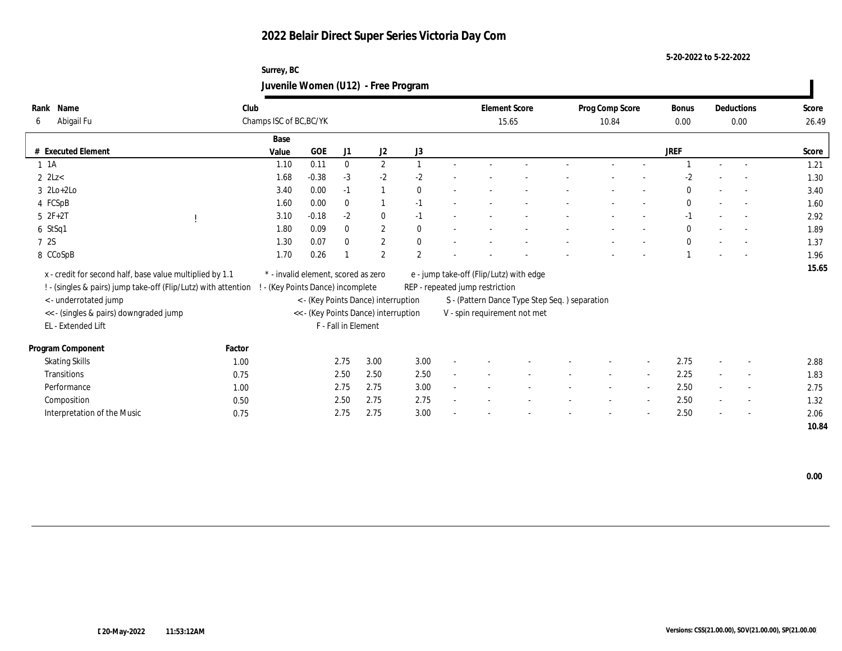**5-20-2022 to 5-22-2022**

## **Surrey, BC Juvenile Women (U12) - Free Program**

| Name<br>Rank                                                   | Club                    |                                     |                     |                                      |                |        |                                 | <b>Element Score</b>                          | Prog Comp Score |                          | Bonus        |        | Deductions               | Score |
|----------------------------------------------------------------|-------------------------|-------------------------------------|---------------------|--------------------------------------|----------------|--------|---------------------------------|-----------------------------------------------|-----------------|--------------------------|--------------|--------|--------------------------|-------|
| Abigail Fu<br>6                                                | Champs ISC of BC, BC/YK |                                     |                     |                                      |                |        |                                 | 15.65                                         | 10.84           |                          | 0.00         |        | 0.00                     | 26.49 |
|                                                                | Base                    |                                     |                     |                                      |                |        |                                 |                                               |                 |                          |              |        |                          |       |
| # Executed Element                                             | Value                   | <b>GOE</b>                          | J1                  | J2                                   | J3             |        |                                 |                                               |                 |                          | <b>JREF</b>  |        |                          | Score |
| $1 \t1A$                                                       | 1.10                    | 0.11                                | $\bf{0}$            | $\mathbf{2}$                         | $\mathbf{1}$   | $\sim$ |                                 |                                               |                 |                          |              | $\sim$ | $\overline{\phantom{a}}$ | 1.21  |
| $2$ $2$ Lz                                                     | 1.68                    | $-0.38$                             | $-3$                | $-2$                                 | $-2$           |        |                                 |                                               |                 |                          | $-2$         |        | $\overline{\phantom{a}}$ | 1.30  |
| $3 \text{ } 2\text{Lo}+2\text{Lo}$                             | 3.40                    | 0.00                                | $-1$                | $\mathbf{1}$                         | $\mathbf{0}$   |        |                                 |                                               |                 |                          | $\theta$     |        |                          | 3.40  |
| 4 FCSpB                                                        | 1.60                    | 0.00                                | $\mathbf{0}$        | 1                                    | $-1$           |        |                                 |                                               |                 |                          | $\mathbf{0}$ |        | $\sim$                   | 1.60  |
| $5 2F+2T$                                                      | 3.10                    | $-0.18$                             | $-2$                | $\mathbf{0}$                         | $-1$           |        |                                 |                                               |                 |                          | $-1$         |        | $\sim$                   | 2.92  |
| 6 StSq1                                                        | 1.80                    | 0.09                                | $\bf{0}$            | $\mathbf{2}$                         | $\mathbf{0}$   |        |                                 |                                               |                 |                          | $\mathbf{0}$ |        | $\sim$                   | 1.89  |
| 7 2S                                                           | 1.30                    | 0.07                                | $\mathbf{0}$        | $\mathbf{2}$                         | $\mathbf{0}$   |        |                                 |                                               |                 |                          | $\mathbf{0}$ |        | $\overline{\phantom{a}}$ | 1.37  |
| 8 CCoSpB                                                       | 1.70                    | 0.26                                |                     | $\overline{2}$                       | $\overline{2}$ |        |                                 |                                               |                 |                          |              |        |                          | 1.96  |
| x - credit for second half, base value multiplied by 1.1       |                         | * - invalid element, scored as zero |                     |                                      |                |        |                                 | e - jump take-off (Flip/Lutz) with edge       |                 |                          |              |        |                          | 15.65 |
| ! - (singles & pairs) jump take-off (Flip/Lutz) with attention |                         | (Key Points Dance) incomplete       |                     |                                      |                |        | REP - repeated jump restriction |                                               |                 |                          |              |        |                          |       |
| < - underrotated jump                                          |                         |                                     |                     | < - (Key Points Dance) interruption  |                |        |                                 | S - (Pattern Dance Type Step Seq.) separation |                 |                          |              |        |                          |       |
| << - (singles & pairs) downgraded jump                         |                         |                                     |                     | << - (Key Points Dance) interruption |                |        |                                 | V - spin requirement not met                  |                 |                          |              |        |                          |       |
| EL - Extended Lift                                             |                         |                                     | F - Fall in Element |                                      |                |        |                                 |                                               |                 |                          |              |        |                          |       |
|                                                                |                         |                                     |                     |                                      |                |        |                                 |                                               |                 |                          |              |        |                          |       |
| Program Component                                              | Factor                  |                                     |                     |                                      |                |        |                                 |                                               |                 |                          |              |        |                          |       |
| <b>Skating Skills</b>                                          | 1.00                    |                                     | 2.75                | 3.00                                 | 3.00           |        |                                 |                                               |                 |                          | 2.75         |        | $\overline{\phantom{a}}$ | 2.88  |
| Transitions                                                    | 0.75                    |                                     | 2.50                | 2.50                                 | 2.50           |        |                                 |                                               |                 | $\sim$                   | 2.25         |        | $\sim$                   | 1.83  |
| Performance                                                    | 1.00                    |                                     | 2.75                | 2.75                                 | 3.00           |        |                                 |                                               |                 | $\overline{\phantom{a}}$ | 2.50         |        | $\overline{\phantom{a}}$ | 2.75  |
| Composition                                                    | 0.50                    |                                     | 2.50                | 2.75                                 | 2.75           |        |                                 |                                               |                 | $\sim$                   | 2.50         |        | $\sim$                   | 1.32  |
| Interpretation of the Music                                    | 0.75                    |                                     | 2.75                | 2.75                                 | 3.00           |        |                                 |                                               |                 |                          | 2.50         |        | $\overline{\phantom{a}}$ | 2.06  |
|                                                                |                         |                                     |                     |                                      |                |        |                                 |                                               |                 |                          |              |        |                          | 10.84 |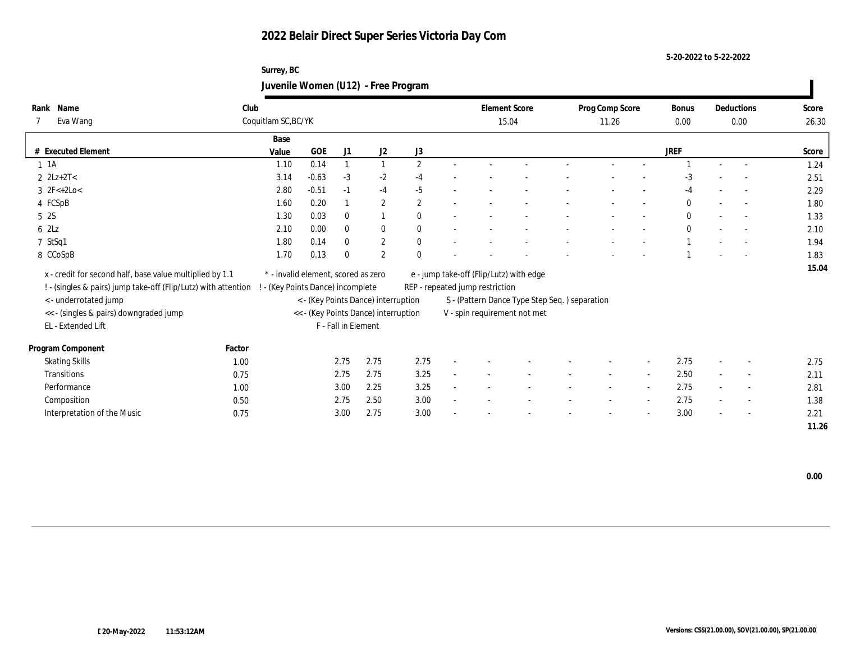**5-20-2022 to 5-22-2022**

## **Surrey, BC Juvenile Women (U12) - Free Program**

| Rank | Name                                                           | Club                            |                                     |                     |                                      |                |                                 | <b>Element Score</b>                          | Prog Comp Score |                          | Bonus        |                          | Deductions               | Score |
|------|----------------------------------------------------------------|---------------------------------|-------------------------------------|---------------------|--------------------------------------|----------------|---------------------------------|-----------------------------------------------|-----------------|--------------------------|--------------|--------------------------|--------------------------|-------|
|      | Eva Wang                                                       | Coquitlam SC, BC/YK             |                                     |                     |                                      |                |                                 | 15.04                                         | 11.26           |                          | 0.00         |                          | 0.00                     | 26.30 |
|      |                                                                | Base                            |                                     |                     |                                      |                |                                 |                                               |                 |                          |              |                          |                          |       |
|      | # Executed Element                                             | Value                           | <b>GOE</b>                          | J1                  | J2                                   | $\rm J3$       |                                 |                                               |                 |                          | <b>JREF</b>  |                          |                          | Score |
|      | $1 \t1A$                                                       | 1.10                            | 0.14                                |                     | $\mathbf{1}$                         | $\mathbf{2}$   |                                 |                                               |                 |                          |              |                          |                          | 1.24  |
|      | $2 \text{ } 2Lz + 2T <$                                        | 3.14                            | $-0.63$                             | $-3$                | $-2$                                 | $-4$           |                                 |                                               |                 |                          | $-3$         |                          |                          | 2.51  |
|      | $3 \text{ } 2F<+2Lo<$                                          | 2.80                            | $-0.51$                             | $-1$                | $-4$                                 | $-5$           |                                 |                                               |                 |                          | -4           |                          |                          | 2.29  |
|      | 4 FCSpB                                                        | 1.60                            | 0.20                                |                     | $\boldsymbol{2}$                     | $\overline{2}$ |                                 |                                               |                 |                          | $\mathbf{0}$ |                          | $\overline{\phantom{a}}$ | 1.80  |
|      | 5 <sub>2S</sub>                                                | 1.30                            | 0.03                                | $\bf{0}$            | $\overline{1}$                       | $\theta$       |                                 |                                               |                 |                          | $\mathbf{0}$ |                          | $\sim$                   | 1.33  |
|      | 62Lz                                                           | 2.10                            | 0.00                                | $\mathbf{0}$        | $\mathbf{0}$                         | $\theta$       |                                 |                                               |                 |                          | $\mathbf{0}$ |                          | $\sim$                   | 2.10  |
|      | 7 StSq1                                                        | 1.80                            | 0.14                                | $\mathbf{0}$        | $\mathbf{2}$                         | $\mathbf{0}$   |                                 |                                               |                 |                          |              |                          |                          | 1.94  |
|      | 8 CCoSpB                                                       | 1.70                            | 0.13                                | $\theta$            | $\boldsymbol{2}$                     | $\Omega$       |                                 |                                               |                 |                          |              |                          |                          | 1.83  |
|      | x - credit for second half, base value multiplied by 1.1       |                                 | * - invalid element, scored as zero |                     |                                      |                |                                 | e - jump take-off (Flip/Lutz) with edge       |                 |                          |              |                          |                          | 15.04 |
|      |                                                                |                                 |                                     |                     |                                      |                |                                 |                                               |                 |                          |              |                          |                          |       |
|      | ! - (singles & pairs) jump take-off (Flip/Lutz) with attention | - (Key Points Dance) incomplete |                                     |                     |                                      |                | REP - repeated jump restriction |                                               |                 |                          |              |                          |                          |       |
|      | < - underrotated jump                                          |                                 |                                     |                     | < - (Key Points Dance) interruption  |                |                                 | S - (Pattern Dance Type Step Seq.) separation |                 |                          |              |                          |                          |       |
|      | << - (singles & pairs) downgraded jump                         |                                 |                                     |                     | << - (Key Points Dance) interruption |                |                                 | V - spin requirement not met                  |                 |                          |              |                          |                          |       |
|      | EL - Extended Lift                                             |                                 |                                     | F - Fall in Element |                                      |                |                                 |                                               |                 |                          |              |                          |                          |       |
|      | Program Component                                              | Factor                          |                                     |                     |                                      |                |                                 |                                               |                 |                          |              |                          |                          |       |
|      | <b>Skating Skills</b>                                          | 1.00                            |                                     | 2.75                | 2.75                                 | 2.75           |                                 |                                               |                 | $\sim$                   | 2.75         |                          | $\sim$                   | 2.75  |
|      | Transitions                                                    | 0.75                            |                                     | 2.75                | 2.75                                 | 3.25           |                                 |                                               |                 | $\sim$                   | 2.50         |                          | $\overline{\phantom{a}}$ | 2.11  |
|      | Performance                                                    | 1.00                            |                                     | 3.00                | 2.25                                 | 3.25           |                                 |                                               |                 | $\sim$                   | 2.75         |                          | $\overline{\phantom{a}}$ | 2.81  |
|      | Composition                                                    | 0.50                            |                                     | 2.75                | 2.50                                 | 3.00           |                                 |                                               |                 | $\overline{\phantom{a}}$ | 2.75         | $\overline{\phantom{a}}$ | $\sim$                   | 1.38  |
|      | Interpretation of the Music                                    | 0.75                            |                                     | 3.00                | 2.75                                 | 3.00           |                                 |                                               |                 | $\overline{\phantom{a}}$ | 3.00         | $\overline{\phantom{a}}$ | $\sim$                   | 2.21  |
|      |                                                                |                                 |                                     |                     |                                      |                |                                 |                                               |                 |                          |              |                          |                          | 11.26 |

 **0.00**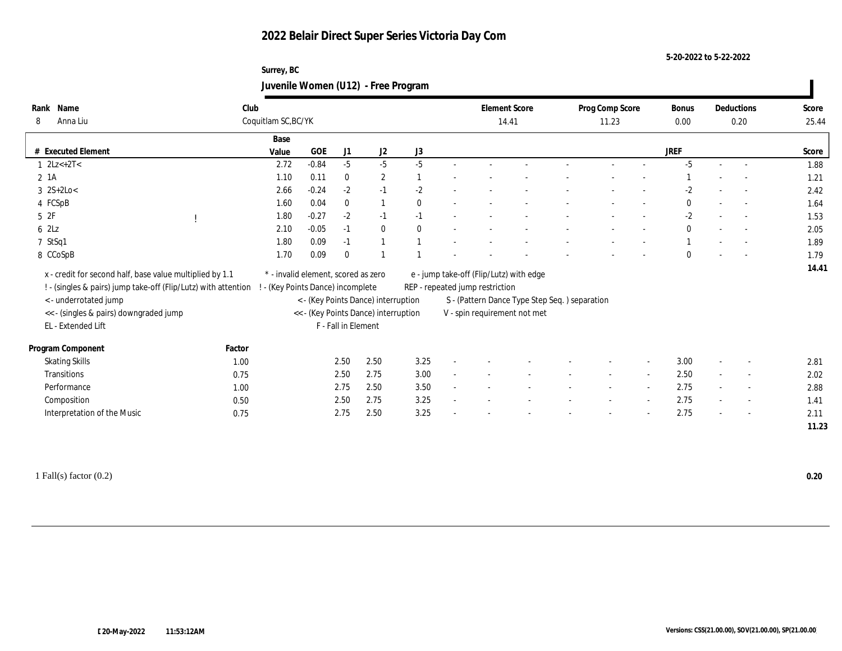#### **5-20-2022 to 5-22-2022**

## **Surrey, BC Juvenile Women (U12) - Free Program**

| Name<br>Rank                                                     | Club   |                                     |            |                     |                                      |                                 |        |       | <b>Element Score</b>                          | Prog Comp Score |                          | <b>Bonus</b> |                          | Deductions               | Score |
|------------------------------------------------------------------|--------|-------------------------------------|------------|---------------------|--------------------------------------|---------------------------------|--------|-------|-----------------------------------------------|-----------------|--------------------------|--------------|--------------------------|--------------------------|-------|
| Anna Liu<br>8                                                    |        | Coquitlam SC, BC/YK                 |            |                     |                                      |                                 |        | 14.41 |                                               | 11.23           |                          | 0.00         |                          | 0.20                     | 25.44 |
|                                                                  |        | Base                                |            |                     |                                      |                                 |        |       |                                               |                 |                          |              |                          |                          |       |
| # Executed Element                                               |        | Value                               | <b>GOE</b> | J1                  | J2                                   | J3                              |        |       |                                               |                 |                          | <b>JREF</b>  |                          |                          | Score |
| $1 \quad 2Lz< +2T<$                                              |        | 2.72                                | $-0.84$    | $-5$                | $-5$                                 | $-5$                            |        |       |                                               |                 |                          | $-5$         |                          |                          | 1.88  |
| $2$ 1A                                                           |        | 1.10                                | 0.11       | $\mathbf{0}$        | $\mathbf{2}$                         |                                 |        |       |                                               |                 |                          |              |                          | $\overline{\phantom{a}}$ | 1.21  |
| $3 \ 2S+2Lo<$                                                    |        | 2.66                                | $-0.24$    | $-2$                | $-1$                                 | $-2$                            |        |       |                                               |                 |                          | $-2$         |                          |                          | 2.42  |
| 4 FCSpB                                                          |        | 1.60                                | 0.04       | $\mathbf{0}$        |                                      | $\theta$                        |        |       |                                               |                 |                          | $\bf{0}$     | $\sim$                   | $\overline{a}$           | 1.64  |
| 52F                                                              |        | 1.80                                | $-0.27$    | $-2$                | $-1$                                 | $-1$                            |        |       |                                               |                 |                          | $-2$         |                          | $\overline{\phantom{a}}$ | 1.53  |
| 62Lz                                                             |        | 2.10                                | $-0.05$    | $-1$                | $\bf{0}$                             | $\mathbf{0}$                    |        |       |                                               |                 |                          | $\mathbf{0}$ |                          | $\sim$                   | 2.05  |
| 7 StSq1                                                          |        | 1.80                                | 0.09       | $-1$                |                                      |                                 |        |       |                                               |                 |                          |              |                          | $\overline{\phantom{a}}$ | 1.89  |
| 8 CCoSpB                                                         |        | 1.70                                | 0.09       | $\theta$            |                                      |                                 |        |       |                                               |                 |                          | $\mathbf{0}$ |                          | $\overline{\phantom{a}}$ | 1.79  |
| x - credit for second half, base value multiplied by 1.1         |        | * - invalid element, scored as zero |            |                     |                                      |                                 |        |       | e - jump take-off (Flip/Lutz) with edge       |                 |                          |              |                          |                          | 14.41 |
| ! - (singles & pairs) jump take-off (Flip/Lutz) with attention ! |        | - (Key Points Dance) incomplete     |            |                     |                                      | REP - repeated jump restriction |        |       |                                               |                 |                          |              |                          |                          |       |
| <- underrotated jump                                             |        |                                     |            |                     | < - (Key Points Dance) interruption  |                                 |        |       | S - (Pattern Dance Type Step Seq.) separation |                 |                          |              |                          |                          |       |
| << - (singles & pairs) downgraded jump                           |        |                                     |            |                     | << - (Key Points Dance) interruption |                                 |        |       | V - spin requirement not met                  |                 |                          |              |                          |                          |       |
| EL - Extended Lift                                               |        |                                     |            | F - Fall in Element |                                      |                                 |        |       |                                               |                 |                          |              |                          |                          |       |
|                                                                  |        |                                     |            |                     |                                      |                                 |        |       |                                               |                 |                          |              |                          |                          |       |
| Program Component                                                | Factor |                                     |            |                     |                                      |                                 |        |       |                                               |                 |                          |              |                          |                          |       |
| <b>Skating Skills</b>                                            | 1.00   |                                     |            | 2.50                | 2.50                                 | 3.25                            |        |       |                                               |                 |                          | 3.00         |                          |                          | 2.81  |
| Transitions                                                      | 0.75   |                                     |            | 2.50                | 2.75                                 | 3.00                            | $\sim$ |       |                                               |                 | $\sim$                   | 2.50         | $\sim$                   | $\sim$                   | 2.02  |
| Performance                                                      | 1.00   |                                     |            | 2.75                | 2.50                                 | 3.50                            | $\sim$ |       |                                               |                 | $\sim$                   | 2.75         | $\sim$                   | $\sim$                   | 2.88  |
| Composition                                                      | 0.50   |                                     |            | 2.50                | 2.75                                 | 3.25                            |        |       |                                               |                 |                          | 2.75         |                          | $\sim$                   | 1.41  |
| Interpretation of the Music                                      | 0.75   |                                     |            | 2.75                | 2.50                                 | 3.25                            |        |       |                                               |                 | $\overline{\phantom{a}}$ | 2.75         | $\overline{\phantom{a}}$ | $\overline{\phantom{a}}$ | 2.11  |
|                                                                  |        |                                     |            |                     |                                      |                                 |        |       |                                               |                 |                          |              |                          |                          | 11.23 |

1 Fall(s) factor (0.2) **0.20**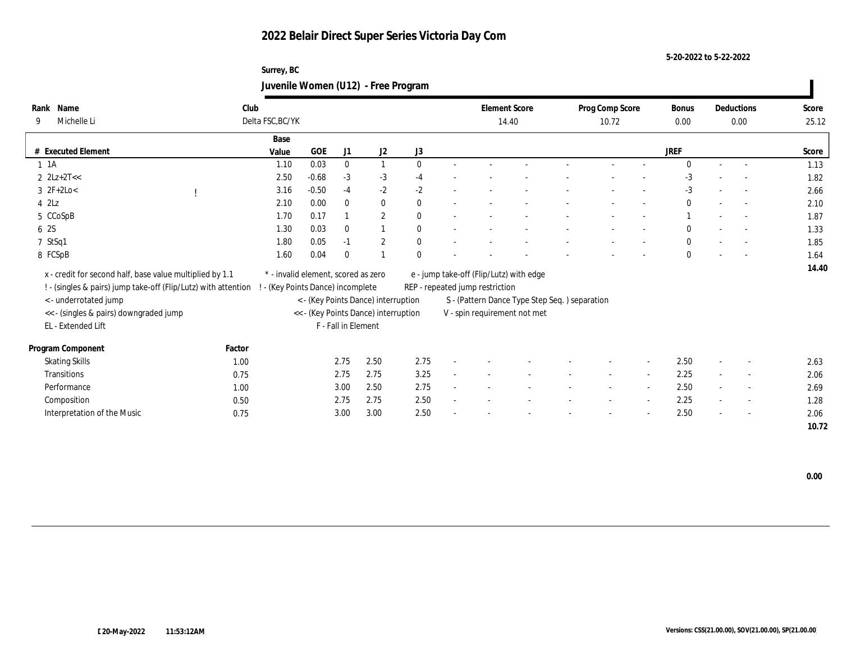**5-20-2022 to 5-22-2022**

## **Surrey, BC Juvenile Women (U12) - Free Program**

| Name<br>Rank                                                   | Club                              |                                      |              |                  |              |                                         | <b>Element Score</b>                           | Prog Comp Score |        | Bonus        |        | Deductions               | Score |
|----------------------------------------------------------------|-----------------------------------|--------------------------------------|--------------|------------------|--------------|-----------------------------------------|------------------------------------------------|-----------------|--------|--------------|--------|--------------------------|-------|
| Michelle Li<br>9                                               | Delta FSC, BC/YK                  |                                      |              |                  |              |                                         | 14.40                                          | 10.72           |        | 0.00         |        | 0.00                     | 25.12 |
|                                                                | Base                              |                                      |              |                  |              |                                         |                                                |                 |        |              |        |                          |       |
| # Executed Element                                             | Value                             | <b>GOE</b>                           | J1           | $\mathrm{J}2$    | J3           |                                         |                                                |                 |        | <b>JREF</b>  |        |                          | Score |
| $1 \t1A$                                                       | 1.10                              | 0.03                                 | $\mathbf{0}$ | $\mathbf{1}$     | $\theta$     |                                         |                                                |                 |        | $\Omega$     | $\sim$ | $\sim$                   | 1.13  |
| $2 \text{ } 2Lz + 2T <<$                                       | 2.50                              | $-0.68$                              | $-3$         | $-3$             | $-4$         |                                         |                                                |                 |        | $-3$         |        |                          | 1.82  |
| $3 \ 2F+2Lo<$                                                  | 3.16                              | $-0.50$                              | $-4$         | $-2$             | $-2$         |                                         |                                                |                 |        | $-3$         |        |                          | 2.66  |
| $4$ $2\text{L}z$                                               | 2.10                              | 0.00                                 | $\mathbf{0}$ | $\bf{0}$         | $\mathbf{0}$ |                                         |                                                |                 |        | $\mathbf{0}$ |        | $\sim$                   | 2.10  |
| 5 CCoSpB                                                       | 1.70                              | 0.17                                 |              | $\boldsymbol{2}$ | $\theta$     |                                         |                                                |                 |        |              |        | $\sim$                   | 1.87  |
| 6 2S                                                           | 1.30                              | 0.03                                 | $\bf{0}$     | 1                | $\theta$     |                                         |                                                |                 |        | $\mathbf{0}$ |        |                          | 1.33  |
| 7 StSq1                                                        | 1.80                              | 0.05                                 | $-1$         | $\boldsymbol{2}$ | $\mathbf{0}$ |                                         |                                                |                 |        | $\mathbf{0}$ |        |                          | 1.85  |
| 8 FCSpB                                                        | 1.60                              | 0.04                                 | $\bf{0}$     | $\overline{1}$   | $\Omega$     |                                         |                                                |                 |        | $\mathbf{0}$ |        |                          | 1.64  |
| x - credit for second half, base value multiplied by 1.1       |                                   | * - invalid element, scored as zero  |              |                  |              | e - jump take-off (Flip/Lutz) with edge |                                                |                 |        |              |        |                          | 14.40 |
|                                                                |                                   |                                      |              |                  |              |                                         |                                                |                 |        |              |        |                          |       |
| ! - (singles & pairs) jump take-off (Flip/Lutz) with attention | ! - (Key Points Dance) incomplete |                                      |              |                  |              | REP - repeated jump restriction         |                                                |                 |        |              |        |                          |       |
| < - underrotated jump                                          |                                   | < - (Key Points Dance) interruption  |              |                  |              |                                         | S - (Pattern Dance Type Step Seq. ) separation |                 |        |              |        |                          |       |
| << - (singles & pairs) downgraded jump                         |                                   | << - (Key Points Dance) interruption |              |                  |              |                                         | V - spin requirement not met                   |                 |        |              |        |                          |       |
| EL - Extended Lift                                             |                                   | F - Fall in Element                  |              |                  |              |                                         |                                                |                 |        |              |        |                          |       |
| Program Component                                              | Factor                            |                                      |              |                  |              |                                         |                                                |                 |        |              |        |                          |       |
| <b>Skating Skills</b>                                          | 1.00                              |                                      | 2.75         | 2.50             | 2.75         |                                         |                                                |                 |        | 2.50         |        |                          | 2.63  |
| Transitions                                                    | 0.75                              |                                      | 2.75         | 2.75             | 3.25         |                                         |                                                |                 | $\sim$ | 2.25         |        | $\overline{\phantom{a}}$ | 2.06  |
| Performance                                                    | 1.00                              |                                      | 3.00         | 2.50             | 2.75         |                                         |                                                |                 |        | 2.50         |        | $\overline{\phantom{a}}$ | 2.69  |
| Composition                                                    | 0.50                              |                                      | 2.75         | 2.75             | 2.50         |                                         |                                                |                 |        | 2.25         |        | $\sim$                   | 1.28  |
| Interpretation of the Music                                    | 0.75                              |                                      | 3.00         | 3.00             | 2.50         |                                         |                                                |                 |        | 2.50         |        | $\overline{\phantom{a}}$ | 2.06  |
|                                                                |                                   |                                      |              |                  |              |                                         |                                                |                 |        |              |        |                          | 10.72 |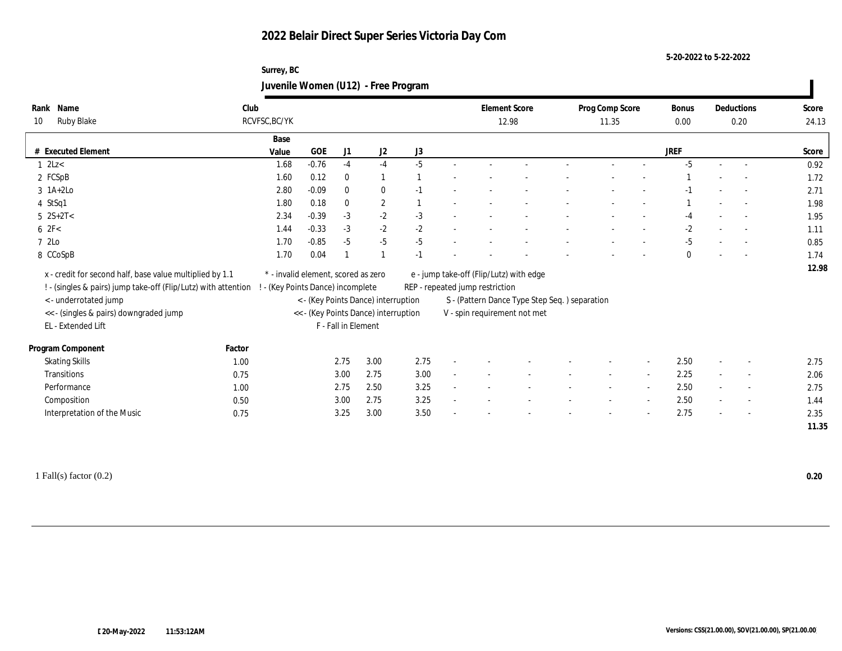**5-20-2022 to 5-22-2022**

| Surrey, BC                          |  |
|-------------------------------------|--|
| Juvenile Women (U12) - Free Program |  |

| Name<br>Rank                                                   | Club   |                                     |            |                     |                                      |      |                                 | <b>Element Score</b>                           |  | Prog Comp Score |                | Bonus        | Deductions               | Score |
|----------------------------------------------------------------|--------|-------------------------------------|------------|---------------------|--------------------------------------|------|---------------------------------|------------------------------------------------|--|-----------------|----------------|--------------|--------------------------|-------|
| Ruby Blake<br>10                                               |        | RCVFSC, BC/YK                       |            |                     |                                      |      |                                 | 12.98                                          |  | 11.35           |                | 0.00         | 0.20                     | 24.13 |
|                                                                |        | Base                                |            |                     |                                      |      |                                 |                                                |  |                 |                |              |                          |       |
| # Executed Element                                             |        | Value                               | <b>GOE</b> | J <sub>1</sub>      | J2                                   | J3   |                                 |                                                |  |                 |                | JREF         |                          | Score |
| $1 \text{ } 2Lz <$                                             |        | 1.68                                | $-0.76$    | $-4$                | $-4$                                 | $-5$ |                                 |                                                |  |                 |                | $-5$         |                          | 0.92  |
| 2 FCSpB                                                        |        | 1.60                                | 0.12       | $\bf{0}$            |                                      |      |                                 |                                                |  |                 |                |              |                          | 1.72  |
| $3$ 1A+2Lo                                                     |        | 2.80                                | $-0.09$    | $\bf{0}$            | $\bf{0}$                             | $-1$ |                                 |                                                |  |                 |                |              | $\sim$                   | 2.71  |
| 4 StSq1                                                        |        | 1.80                                | 0.18       | $\mathbf{0}$        | $\mathbf{2}$                         |      |                                 |                                                |  |                 |                |              | $\sim$                   | 1.98  |
| $5 \ 2S+2T<$                                                   |        | 2.34                                | $-0.39$    | $-3$                | $-2$                                 | $-3$ |                                 |                                                |  |                 |                | -4           |                          | 1.95  |
| 62F<                                                           |        | 1.44                                | $-0.33$    | $-3$                | $-2$                                 | $-2$ |                                 |                                                |  |                 |                | -2           |                          | 1.11  |
| 7 2Lo                                                          |        | 1.70                                | $-0.85$    | $-5$                | $-5$                                 | $-5$ |                                 |                                                |  |                 |                | $-5$         |                          | 0.85  |
| 8 CCoSpB                                                       |        | 1.70                                | 0.04       |                     |                                      | $-1$ |                                 |                                                |  |                 |                | $\mathbf{0}$ |                          | 1.74  |
| x - credit for second half, base value multiplied by 1.1       |        | * - invalid element, scored as zero |            |                     |                                      |      |                                 | e - jump take-off (Flip/Lutz) with edge        |  |                 |                |              |                          | 12.98 |
| ! - (singles & pairs) jump take-off (Flip/Lutz) with attention |        | - (Key Points Dance) incomplete     |            |                     |                                      |      | REP - repeated jump restriction |                                                |  |                 |                |              |                          |       |
| <- underrotated jump                                           |        |                                     |            |                     | < - (Key Points Dance) interruption  |      |                                 | S - (Pattern Dance Type Step Seq. ) separation |  |                 |                |              |                          |       |
| << - (singles & pairs) downgraded jump                         |        |                                     |            |                     | << - (Key Points Dance) interruption |      |                                 | V - spin requirement not met                   |  |                 |                |              |                          |       |
| EL - Extended Lift                                             |        |                                     |            | F - Fall in Element |                                      |      |                                 |                                                |  |                 |                |              |                          |       |
|                                                                |        |                                     |            |                     |                                      |      |                                 |                                                |  |                 |                |              |                          |       |
| Program Component                                              | Factor |                                     |            |                     |                                      |      |                                 |                                                |  |                 |                |              |                          |       |
| <b>Skating Skills</b>                                          | 1.00   |                                     |            | 2.75                | 3.00                                 | 2.75 |                                 |                                                |  |                 |                | 2.50         |                          | 2.75  |
| <b>Transitions</b>                                             | 0.75   |                                     |            | 3.00                | 2.75                                 | 3.00 |                                 |                                                |  |                 | $\overline{a}$ | 2.25         | $\overline{\phantom{a}}$ | 2.06  |
| Performance                                                    | 1.00   |                                     |            | 2.75                | 2.50                                 | 3.25 |                                 |                                                |  |                 |                | 2.50         | $\overline{\phantom{a}}$ | 2.75  |
| Composition                                                    | 0.50   |                                     |            | 3.00                | 2.75                                 | 3.25 |                                 |                                                |  |                 |                | 2.50         | $\sim$                   | 1.44  |
| Interpretation of the Music                                    | 0.75   |                                     |            | 3.25                | 3.00                                 | 3.50 |                                 |                                                |  |                 |                | 2.75         | $\overline{\phantom{a}}$ | 2.35  |
|                                                                |        |                                     |            |                     |                                      |      |                                 |                                                |  |                 |                |              |                          | 11.35 |

1 Fall(s) factor (0.2) **0.20**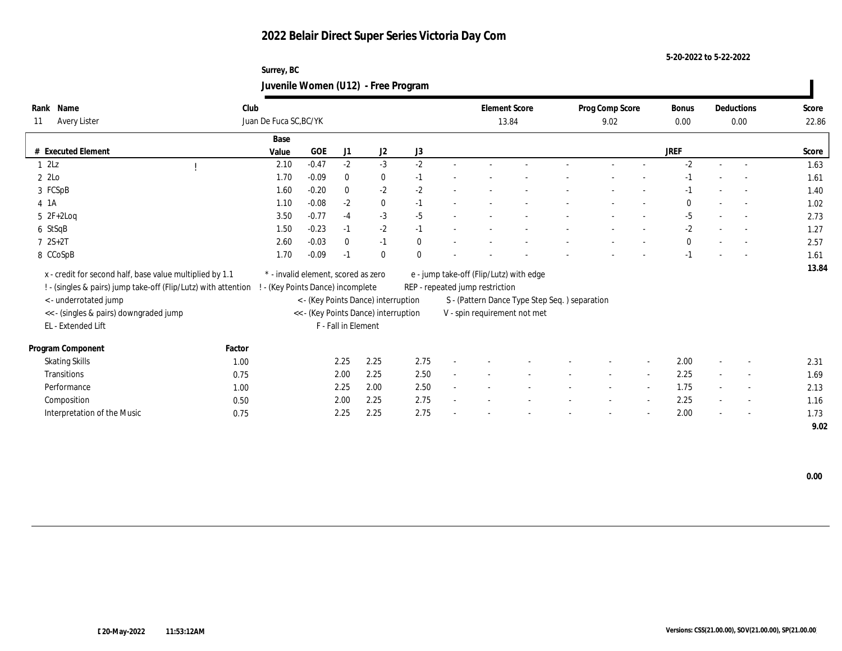#### **5-20-2022 to 5-22-2022**

## **Surrey, BC Juvenile Women (U12) - Free Program**

| Name<br>Rank                                                   | Club   |                        |                                     |                     |                                      |              |                                 | <b>Element Score</b>                          | Prog Comp Score |        |                          | <b>Bonus</b> |        | Deductions               | Score |
|----------------------------------------------------------------|--------|------------------------|-------------------------------------|---------------------|--------------------------------------|--------------|---------------------------------|-----------------------------------------------|-----------------|--------|--------------------------|--------------|--------|--------------------------|-------|
| Avery Lister<br>11                                             |        | Juan De Fuca SC, BC/YK |                                     |                     |                                      |              |                                 | 13.84                                         |                 | 9.02   |                          | $0.00\,$     |        | 0.00                     | 22.86 |
|                                                                |        | Base                   |                                     |                     |                                      |              |                                 |                                               |                 |        |                          |              |        |                          |       |
| # Executed Element                                             |        | Value                  | GOE                                 | J1                  | J2                                   | J3           |                                 |                                               |                 |        |                          | <b>JREF</b>  |        |                          | Score |
| 12Lz                                                           |        | 2.10                   | $-0.47$                             | $-2$                | $-3$                                 | $-2$         |                                 |                                               |                 |        |                          | $-2$         |        |                          | 1.63  |
| $2\,$ 2Lo $\,$                                                 |        | 1.70                   | $-0.09$                             | $\mathbf{0}$        | $\bf{0}$                             | $-1$         |                                 |                                               |                 |        |                          | -1           |        |                          | 1.61  |
| 3 FCSpB                                                        |        | 1.60                   | $-0.20$                             | $\mathbf{0}$        | $-2$                                 | $-2$         |                                 |                                               |                 |        |                          | $-1$         |        |                          | 1.40  |
| 4 1 A                                                          |        | 1.10                   | $-0.08$                             | $-2$                | $\bf{0}$                             | $-1$         |                                 |                                               |                 |        |                          | $\theta$     |        | $\overline{a}$           | 1.02  |
| $5 \t2F+2Log$                                                  |        | 3.50                   | $-0.77$                             | $-4$                | $-3$                                 | $-5$         |                                 |                                               |                 |        |                          | $-5$         |        | $\sim$                   | 2.73  |
| 6 StSqB                                                        |        | 1.50                   | $-0.23$                             | $-1$                | $-2$                                 | $-1$         |                                 |                                               |                 |        |                          | $-2$         |        | $\overline{\phantom{a}}$ | 1.27  |
| $72S+2T$                                                       |        | 2.60                   | $-0.03$                             | $\mathbf{0}$        | $-1$                                 | $\mathbf{0}$ |                                 |                                               |                 |        |                          | $\theta$     |        |                          | 2.57  |
| 8 CCoSpB                                                       |        | 1.70                   | $-0.09$                             | $-1$                | $\mathbf{0}$                         | $\theta$     |                                 |                                               |                 |        |                          | $-1$         |        |                          | 1.61  |
| x - credit for second half, base value multiplied by 1.1       |        |                        | * - invalid element, scored as zero |                     |                                      |              |                                 | e - jump take-off (Flip/Lutz) with edge       |                 |        |                          |              |        |                          | 13.84 |
| ! - (singles & pairs) jump take-off (Flip/Lutz) with attention |        |                        | - (Key Points Dance) incomplete     |                     |                                      |              | REP - repeated jump restriction |                                               |                 |        |                          |              |        |                          |       |
| < - underrotated jump                                          |        |                        |                                     |                     | < - (Key Points Dance) interruption  |              |                                 | S - (Pattern Dance Type Step Seq.) separation |                 |        |                          |              |        |                          |       |
| << - (singles & pairs) downgraded jump                         |        |                        |                                     |                     | << - (Key Points Dance) interruption |              |                                 | V - spin requirement not met                  |                 |        |                          |              |        |                          |       |
| EL - Extended Lift                                             |        |                        |                                     | F - Fall in Element |                                      |              |                                 |                                               |                 |        |                          |              |        |                          |       |
|                                                                |        |                        |                                     |                     |                                      |              |                                 |                                               |                 |        |                          |              |        |                          |       |
| Program Component                                              | Factor |                        |                                     |                     |                                      |              |                                 |                                               |                 |        |                          |              |        |                          |       |
| <b>Skating Skills</b>                                          | 1.00   |                        |                                     | 2.25                | 2.25                                 | 2.75         |                                 |                                               |                 |        |                          | 2.00         |        | $\overline{\phantom{a}}$ | 2.31  |
| Transitions                                                    | 0.75   |                        |                                     | 2.00                | 2.25                                 | 2.50         |                                 |                                               |                 | $\sim$ | $\sim$                   | 2.25         | $\sim$ | $\sim$                   | 1.69  |
| Performance                                                    | 1.00   |                        |                                     | 2.25                | 2.00                                 | 2.50         |                                 |                                               |                 |        | $\overline{\phantom{a}}$ | 1.75         |        | $\overline{\phantom{a}}$ | 2.13  |
| Composition                                                    | 0.50   |                        |                                     | 2.00                | 2.25                                 | 2.75         |                                 |                                               |                 |        | $\overline{\phantom{a}}$ | 2.25         |        | $\sim$                   | 1.16  |
| Interpretation of the Music                                    | 0.75   |                        |                                     | 2.25                | 2.25                                 | 2.75         |                                 |                                               |                 |        |                          | 2.00         |        | $\sim$                   | 1.73  |
|                                                                |        |                        |                                     |                     |                                      |              |                                 |                                               |                 |        |                          |              |        |                          | 9.02  |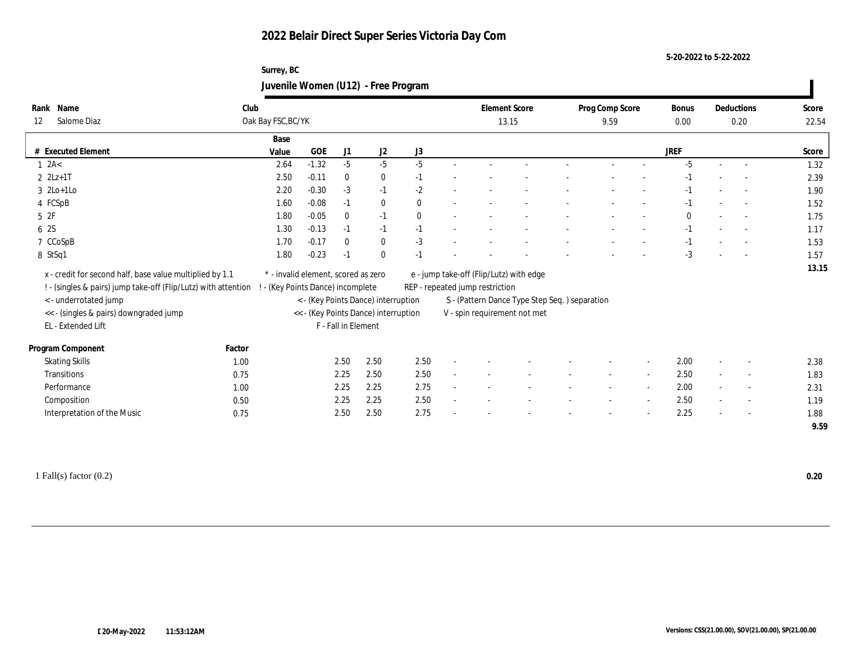#### **5-20-2022 to 5-22-2022**

## **Surrey, BC Juvenile Women (U12) - Free Program**

| Rank | Name                                                           | Club               |                                     |                     |                                      |          |                                                | <b>Element Score</b> | Prog Comp Score |                          | Bonus       |                          | Deductions               | Score |
|------|----------------------------------------------------------------|--------------------|-------------------------------------|---------------------|--------------------------------------|----------|------------------------------------------------|----------------------|-----------------|--------------------------|-------------|--------------------------|--------------------------|-------|
| 12   | Salome Diaz                                                    | Oak Bay FSC, BC/YK |                                     |                     |                                      |          |                                                | 13.15                | 9.59            |                          | 0.00        |                          | 0.20                     | 22.54 |
|      |                                                                | Base               |                                     |                     |                                      |          |                                                |                      |                 |                          |             |                          |                          |       |
|      | # Executed Element                                             | Value              | <b>GOE</b>                          | J1                  | J2                                   | J3       |                                                |                      |                 |                          | <b>JREF</b> |                          |                          | Score |
|      | $1 \text{ } 2A<$                                               | 2.64               | $-1.32$                             | $-5$                | $-5$                                 | $-5$     |                                                |                      |                 |                          | $-5$        |                          |                          | 1.32  |
|      | $2 \text{ } 2Lz+1T$                                            | 2.50               | $-0.11$                             | $\bf{0}$            | $\bf{0}$                             | $-1$     |                                                |                      |                 |                          | $-1$        |                          |                          | 2.39  |
|      | $3 \t2Lo+1Lo$                                                  | 2.20               | $-0.30$                             | $-3$                | $-1$                                 | $-2$     |                                                |                      |                 |                          | -1          |                          |                          | 1.90  |
|      | 4 FCSpB                                                        | 1.60               | $-0.08$                             | $-1$                | $\bf{0}$                             | $\theta$ |                                                |                      |                 |                          | $-1$        |                          | $\sim$                   | 1.52  |
|      | 5 2F                                                           | 1.80               | $-0.05$                             | $\bf{0}$            | $-1$                                 | $\theta$ |                                                |                      |                 |                          | $\Omega$    |                          | $\sim$                   | 1.75  |
|      | 6 2S                                                           | 1.30               | $-0.13$                             | $-1$                | $-1$                                 | $-1$     |                                                |                      |                 |                          | $-1$        |                          | $\overline{a}$           | 1.17  |
|      | 7 CCoSpB                                                       | 1.70               | $-0.17$                             | $\mathbf{0}$        | $\bf{0}$                             | $-3$     |                                                |                      |                 |                          | $-1$        |                          |                          | 1.53  |
|      | 8 StSq1                                                        | 1.80               | $-0.23$                             | $-1$                | $\mathbf{0}$                         | $-1$     |                                                |                      |                 |                          | $-3$        |                          |                          | 1.57  |
|      | x - credit for second half, base value multiplied by 1.1       |                    | * - invalid element, scored as zero |                     |                                      |          | e - jump take-off (Flip/Lutz) with edge        |                      |                 |                          |             |                          |                          | 13.15 |
|      | ! - (singles & pairs) jump take-off (Flip/Lutz) with attention |                    | ! - (Key Points Dance) incomplete   |                     |                                      |          | REP - repeated jump restriction                |                      |                 |                          |             |                          |                          |       |
|      |                                                                |                    |                                     |                     |                                      |          |                                                |                      |                 |                          |             |                          |                          |       |
|      | <- underrotated jump                                           |                    |                                     |                     | < - (Key Points Dance) interruption  |          | S - (Pattern Dance Type Step Seq. ) separation |                      |                 |                          |             |                          |                          |       |
|      | << - (singles & pairs) downgraded jump<br>EL - Extended Lift   |                    |                                     | F - Fall in Element | << - (Key Points Dance) interruption |          | V - spin requirement not met                   |                      |                 |                          |             |                          |                          |       |
|      |                                                                |                    |                                     |                     |                                      |          |                                                |                      |                 |                          |             |                          |                          |       |
|      | Program Component                                              | Factor             |                                     |                     |                                      |          |                                                |                      |                 |                          |             |                          |                          |       |
|      | <b>Skating Skills</b>                                          | 1.00               |                                     | 2.50                | 2.50                                 | 2.50     |                                                |                      |                 |                          | 2.00        |                          |                          | 2.38  |
|      | Transitions                                                    | 0.75               |                                     | 2.25                | 2.50                                 | 2.50     |                                                |                      |                 | $\sim$                   | 2.50        | $\sim$                   | $\overline{\phantom{a}}$ | 1.83  |
|      | Performance                                                    | 1.00               |                                     | 2.25                | 2.25                                 | 2.75     |                                                |                      |                 | $\overline{\phantom{a}}$ | 2.00        | $\sim$                   | $\sim$                   | 2.31  |
|      | Composition                                                    | 0.50               |                                     | 2.25                | 2.25                                 | 2.50     |                                                |                      |                 |                          | 2.50        | $\sim$                   | $\overline{\phantom{a}}$ | 1.19  |
|      | Interpretation of the Music                                    | 0.75               |                                     | 2.50                | 2.50                                 | 2.75     |                                                |                      |                 | $\overline{\phantom{a}}$ | 2.25        | $\overline{\phantom{a}}$ | $\sim$                   | 1.88  |
|      |                                                                |                    |                                     |                     |                                      |          |                                                |                      |                 |                          |             |                          |                          | 9.59  |

1 Fall(s) factor (0.2) **0.20**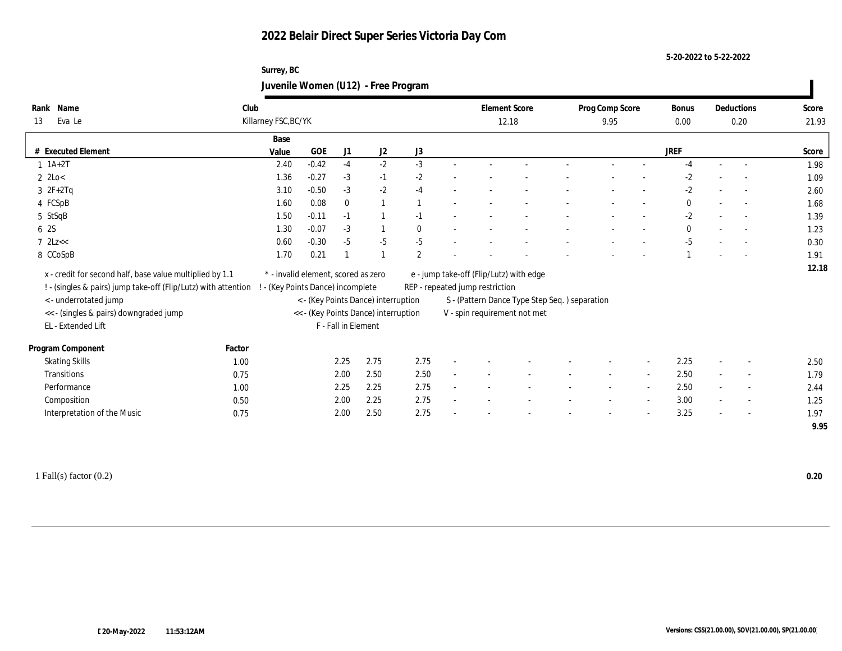**5-20-2022 to 5-22-2022**

## **Surrey, BC Juvenile Women (U12) - Free Program**

| Rank | Name                                                           | Club   |                                     |            |              |                                      |                |                                                | <b>Element Score</b> |  | Prog Comp Score |                          | Bonus        |                          | Deductions               | Score |
|------|----------------------------------------------------------------|--------|-------------------------------------|------------|--------------|--------------------------------------|----------------|------------------------------------------------|----------------------|--|-----------------|--------------------------|--------------|--------------------------|--------------------------|-------|
| 13   | Eva Le                                                         |        | Killarney FSC, BC/YK                |            |              |                                      |                |                                                | 12.18                |  | 9.95            |                          | 0.00         |                          | 0.20                     | 21.93 |
|      |                                                                |        | Base                                |            |              |                                      |                |                                                |                      |  |                 |                          |              |                          |                          |       |
|      | # Executed Element                                             |        | Value                               | <b>GOE</b> | J1           | J2                                   | J3             |                                                |                      |  |                 |                          | <b>JREF</b>  |                          |                          | Score |
|      | $1 \t1A+2T$                                                    |        | 2.40                                | $-0.42$    | $-4$         | $-2$                                 | $-3$           |                                                |                      |  |                 |                          | $-4$         |                          |                          | 1.98  |
|      | $2 \text{ } 2 \text{Lo} <$                                     |        | 1.36                                | $-0.27$    | $-3$         | $-1$                                 | $-2$           |                                                |                      |  |                 |                          | $-2$         |                          |                          | 1.09  |
|      | $3 \t2F+2Tq$                                                   |        | 3.10                                | $-0.50$    | $-3$         | $-2$                                 | $-4$           |                                                |                      |  |                 |                          | $-2$         |                          |                          | 2.60  |
|      | 4 FCSpB                                                        |        | 1.60                                | 0.08       | $\mathbf{0}$ | $\overline{1}$                       |                |                                                |                      |  |                 |                          | $\bf{0}$     |                          | $\overline{a}$           | 1.68  |
|      | 5 StSqB                                                        |        | 1.50                                | $-0.11$    | $-1$         | $\overline{1}$                       | $-1$           |                                                |                      |  |                 |                          | $-2$         |                          | $\overline{\phantom{a}}$ | 1.39  |
| 6 2S |                                                                |        | 1.30                                | $-0.07$    | $-3$         | $\mathbf{1}$                         | $\theta$       |                                                |                      |  |                 |                          | $\mathbf{0}$ |                          | $\overline{a}$           | 1.23  |
|      | $7$ $2$ Lz $<<$                                                |        | 0.60                                | $-0.30$    | $-5$         | $-5$                                 | $-5$           |                                                |                      |  |                 |                          | $-5$         |                          |                          | 0.30  |
|      | 8 CCoSpB                                                       |        | 1.70                                | 0.21       |              | $\overline{1}$                       | $\overline{2}$ |                                                |                      |  |                 |                          |              |                          |                          | 1.91  |
|      | x - credit for second half, base value multiplied by 1.1       |        | * - invalid element, scored as zero |            |              |                                      |                | e - jump take-off (Flip/Lutz) with edge        |                      |  |                 |                          |              |                          |                          | 12.18 |
|      | ! - (singles & pairs) jump take-off (Flip/Lutz) with attention |        | ! - (Key Points Dance) incomplete   |            |              |                                      |                | REP - repeated jump restriction                |                      |  |                 |                          |              |                          |                          |       |
|      | <- underrotated jump                                           |        |                                     |            |              | < - (Key Points Dance) interruption  |                | S - (Pattern Dance Type Step Seq. ) separation |                      |  |                 |                          |              |                          |                          |       |
|      | << - (singles & pairs) downgraded jump                         |        |                                     |            |              | << - (Key Points Dance) interruption |                | V - spin requirement not met                   |                      |  |                 |                          |              |                          |                          |       |
|      | EL - Extended Lift                                             |        |                                     |            |              | F - Fall in Element                  |                |                                                |                      |  |                 |                          |              |                          |                          |       |
|      |                                                                |        |                                     |            |              |                                      |                |                                                |                      |  |                 |                          |              |                          |                          |       |
|      | Program Component                                              | Factor |                                     |            |              |                                      |                |                                                |                      |  |                 |                          |              |                          |                          |       |
|      | <b>Skating Skills</b>                                          | 1.00   |                                     |            | 2.25         | 2.75                                 | 2.75           |                                                |                      |  |                 |                          | 2.25         |                          | $\sim$                   | 2.50  |
|      | Transitions                                                    | 0.75   |                                     |            | 2.00         | 2.50                                 | 2.50           |                                                |                      |  |                 | $\sim$                   | 2.50         | $\sim$                   | $\overline{\phantom{a}}$ | 1.79  |
|      | Performance                                                    | 1.00   |                                     |            | 2.25         | 2.25                                 | 2.75           |                                                |                      |  |                 | $\overline{\phantom{a}}$ | 2.50         | $\sim$                   | $\sim$                   | 2.44  |
|      | Composition                                                    | 0.50   |                                     |            | 2.00         | 2.25                                 | 2.75           |                                                |                      |  |                 | $\sim$                   | 3.00         |                          | $\overline{\phantom{a}}$ | 1.25  |
|      | Interpretation of the Music                                    | 0.75   |                                     |            | 2.00         | 2.50                                 | 2.75           |                                                |                      |  |                 | $\overline{\phantom{a}}$ | 3.25         | $\overline{\phantom{a}}$ | $\sim$                   | 1.97  |
|      |                                                                |        |                                     |            |              |                                      |                |                                                |                      |  |                 |                          |              |                          |                          | 9.95  |

1 Fall(s) factor (0.2) **0.20**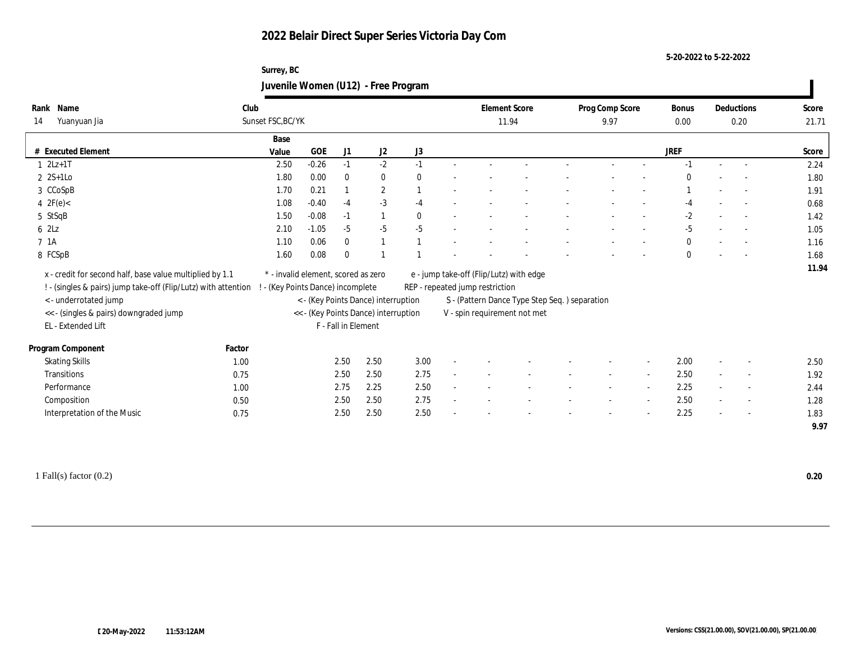#### **5-20-2022 to 5-22-2022**

## **Surrey, BC Juvenile Women (U12) - Free Program**

| Name<br>Rank                                                                                     | Club   |                                     |            |                     |                                      |              |                                 | <b>Element Score</b>                          | Prog Comp Score |        | Bonus        | Deductions               | Score |
|--------------------------------------------------------------------------------------------------|--------|-------------------------------------|------------|---------------------|--------------------------------------|--------------|---------------------------------|-----------------------------------------------|-----------------|--------|--------------|--------------------------|-------|
| 14<br>Yuanyuan Jia                                                                               |        | Sunset FSC, BC/YK                   |            |                     |                                      |              | 11.94                           |                                               | 9.97            |        | 0.00         | 0.20                     | 21.71 |
|                                                                                                  |        | Base                                |            |                     |                                      |              |                                 |                                               |                 |        |              |                          |       |
| # Executed Element                                                                               |        | Value                               | <b>GOE</b> | J1                  | J2                                   | J3           |                                 |                                               |                 |        | <b>JREF</b>  |                          | Score |
| $12Lz+1T$                                                                                        |        | 2.50                                | $-0.26$    | $-1$                | $-2$                                 | $-1$         |                                 |                                               |                 |        |              |                          | 2.24  |
| $2$ 2S+1Lo                                                                                       |        | 1.80                                | 0.00       | $\bf{0}$            | $\bf{0}$                             | $\mathbf{0}$ |                                 |                                               |                 |        | $\Omega$     |                          | 1.80  |
| 3 CCoSpB                                                                                         |        | 1.70                                | 0.21       |                     | $\mathbf{2}$                         |              |                                 |                                               |                 |        |              |                          | 1.91  |
| 4 $2F(e)$                                                                                        |        | 1.08                                | $-0.40$    | $-4$                | $-3$                                 | $-4$         |                                 |                                               |                 |        | $-4$         | $\sim$                   | 0.68  |
| 5 StSqB                                                                                          |        | 1.50                                | $-0.08$    | $-1$                | 1                                    | $\mathbf{0}$ |                                 |                                               |                 |        | $-2$         | $\sim$                   | 1.42  |
| 62Lz                                                                                             |        | 2.10                                | $-1.05$    | $-5$                | $-5$                                 | $-5$         |                                 |                                               |                 |        | $-5$         |                          | 1.05  |
| 7 1A                                                                                             |        | 1.10                                | 0.06       | $\mathbf{0}$        | 1                                    |              |                                 |                                               |                 |        | $\mathbf{0}$ |                          | 1.16  |
| 8 FCSpB                                                                                          |        | 1.60                                | 0.08       | $\mathbf{0}$        |                                      |              |                                 |                                               |                 |        | $\mathbf{0}$ |                          | 1.68  |
| x - credit for second half, base value multiplied by 1.1                                         |        | * - invalid element, scored as zero |            |                     |                                      |              |                                 | e - jump take-off (Flip/Lutz) with edge       |                 |        |              |                          | 11.94 |
| ! - (singles & pairs) jump take-off (Flip/Lutz) with attention ! - (Key Points Dance) incomplete |        |                                     |            |                     |                                      |              | REP - repeated jump restriction |                                               |                 |        |              |                          |       |
| <- underrotated jump                                                                             |        |                                     |            |                     | < - (Key Points Dance) interruption  |              |                                 | S - (Pattern Dance Type Step Seq.) separation |                 |        |              |                          |       |
| << - (singles & pairs) downgraded jump                                                           |        |                                     |            |                     | << - (Key Points Dance) interruption |              |                                 | V - spin requirement not met                  |                 |        |              |                          |       |
| EL - Extended Lift                                                                               |        |                                     |            | F - Fall in Element |                                      |              |                                 |                                               |                 |        |              |                          |       |
|                                                                                                  |        |                                     |            |                     |                                      |              |                                 |                                               |                 |        |              |                          |       |
| Program Component                                                                                | Factor |                                     |            |                     |                                      |              |                                 |                                               |                 |        |              |                          |       |
| <b>Skating Skills</b>                                                                            | 1.00   |                                     |            | 2.50                | 2.50                                 | 3.00         |                                 |                                               |                 |        | 2.00         |                          | 2.50  |
| <b>Transitions</b>                                                                               | 0.75   |                                     |            | 2.50                | 2.50                                 | 2.75         |                                 |                                               |                 | $\sim$ | 2.50         | $\overline{\phantom{a}}$ | 1.92  |
| Performance                                                                                      | 1.00   |                                     |            | 2.75                | 2.25                                 | 2.50         |                                 |                                               |                 |        | 2.25         | $\overline{\phantom{a}}$ | 2.44  |
| Composition                                                                                      | 0.50   |                                     |            | 2.50                | 2.50                                 | 2.75         |                                 |                                               |                 |        | 2.50         | $\overline{\phantom{a}}$ | 1.28  |
| Interpretation of the Music                                                                      | 0.75   |                                     |            | 2.50                | 2.50                                 | 2.50         |                                 |                                               |                 |        | 2.25         | $\sim$                   | 1.83  |
|                                                                                                  |        |                                     |            |                     |                                      |              |                                 |                                               |                 |        |              |                          | 9.97  |
|                                                                                                  |        |                                     |            |                     |                                      |              |                                 |                                               |                 |        |              |                          |       |

1 Fall(s) factor (0.2) **0.20**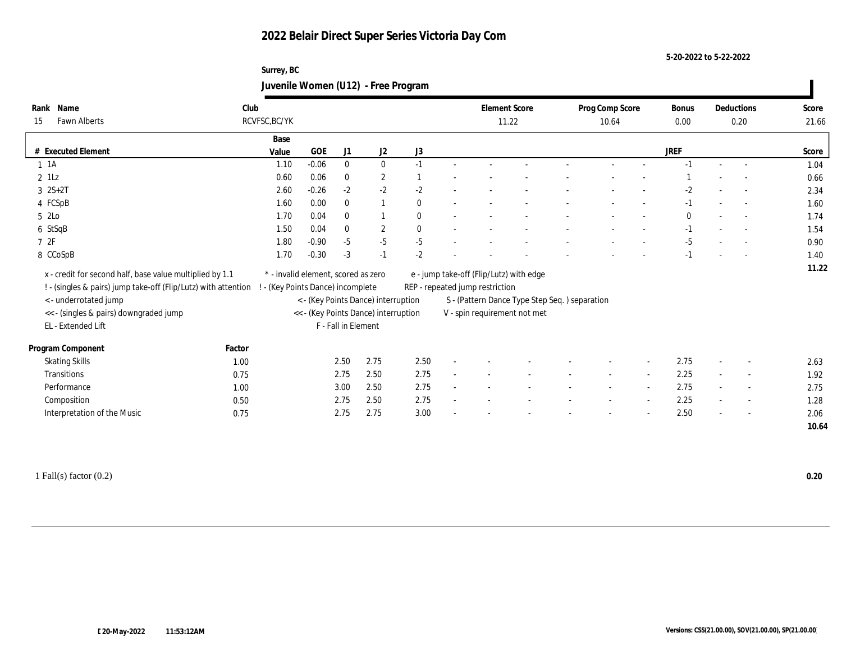**5-20-2022 to 5-22-2022**

## **Surrey, BC Juvenile Women (U12) - Free Program**

| Name<br>Rank                                                   | Club   |                                     |            |                     |                                      |              | <b>Element Score</b>            |                                               | Prog Comp Score | Bonus       |        | Deductions               | Score |
|----------------------------------------------------------------|--------|-------------------------------------|------------|---------------------|--------------------------------------|--------------|---------------------------------|-----------------------------------------------|-----------------|-------------|--------|--------------------------|-------|
| <b>Fawn Alberts</b><br>15                                      |        | RCVFSC, BC/YK                       |            |                     |                                      |              |                                 | 11.22                                         | 10.64           | 0.00        |        | 0.20                     | 21.66 |
|                                                                |        | Base                                |            |                     |                                      |              |                                 |                                               |                 |             |        |                          |       |
| # Executed Element                                             |        | Value                               | <b>GOE</b> | J1                  | J2                                   | J3           |                                 |                                               |                 | <b>JREF</b> |        |                          | Score |
| $1 \t1A$                                                       |        | 1.10                                | $-0.06$    | $\bf{0}$            | $\bf{0}$                             | $-1$         |                                 |                                               |                 | $-1$        | $\sim$ |                          | 1.04  |
| $2$ 1Lz                                                        |        | 0.60                                | 0.06       | $\bf{0}$            | $\mathbf{2}$                         |              |                                 |                                               |                 |             |        |                          | 0.66  |
| $3 \t2S+2T$                                                    |        | 2.60                                | $-0.26$    | $-2$                | $-2$                                 | $-2$         |                                 |                                               |                 | -2          |        |                          | 2.34  |
| 4 FCSpB                                                        |        | 1.60                                | 0.00       | $\mathbf{0}$        |                                      | $\mathbf{0}$ |                                 |                                               |                 | $-1$        |        |                          | 1.60  |
| $52$ Lo                                                        |        | 1.70                                | 0.04       | $\bf{0}$            |                                      | $\mathbf{0}$ |                                 |                                               |                 | $\bf{0}$    |        |                          | 1.74  |
| 6 StSqB                                                        |        | 1.50                                | 0.04       | $\mathbf{0}$        | $\boldsymbol{2}$                     | $\mathbf{0}$ |                                 |                                               |                 | $-1$        |        |                          | 1.54  |
| 72F                                                            |        | 1.80                                | $-0.90$    | $-5$                | $-5$                                 | $-5$         |                                 |                                               |                 | $-5$        |        |                          | 0.90  |
| 8 CCoSpB                                                       |        | 1.70                                | $-0.30$    | $-3$                | $-1$                                 | $-2$         |                                 |                                               |                 | $-1$        |        |                          | 1.40  |
| x - credit for second half, base value multiplied by 1.1       |        | * - invalid element, scored as zero |            |                     |                                      |              |                                 | e - jump take-off (Flip/Lutz) with edge       |                 |             |        |                          | 11.22 |
| ! - (singles & pairs) jump take-off (Flip/Lutz) with attention |        | ! - (Key Points Dance) incomplete   |            |                     |                                      |              | REP - repeated jump restriction |                                               |                 |             |        |                          |       |
| <- underrotated jump                                           |        |                                     |            |                     | < - (Key Points Dance) interruption  |              |                                 | S - (Pattern Dance Type Step Seq.) separation |                 |             |        |                          |       |
| << - (singles & pairs) downgraded jump                         |        |                                     |            |                     | << - (Key Points Dance) interruption |              |                                 | V - spin requirement not met                  |                 |             |        |                          |       |
| EL - Extended Lift                                             |        |                                     |            | F - Fall in Element |                                      |              |                                 |                                               |                 |             |        |                          |       |
|                                                                |        |                                     |            |                     |                                      |              |                                 |                                               |                 |             |        |                          |       |
| Program Component                                              | Factor |                                     |            |                     |                                      |              |                                 |                                               |                 |             |        |                          |       |
| <b>Skating Skills</b>                                          | 1.00   |                                     |            | 2.50                | 2.75                                 | 2.50         |                                 |                                               |                 | 2.75        |        |                          | 2.63  |
| Transitions                                                    | 0.75   |                                     |            | 2.75                | 2.50                                 | 2.75         |                                 |                                               |                 | 2.25        |        | $\sim$                   | 1.92  |
| Performance                                                    | 1.00   |                                     |            | 3.00                | 2.50                                 | 2.75         |                                 |                                               |                 | 2.75        | $\sim$ | $\overline{\phantom{a}}$ | 2.75  |
| Composition                                                    | 0.50   |                                     |            | 2.75                | 2.50                                 | 2.75         |                                 |                                               |                 | 2.25        | $\sim$ | $\overline{\phantom{a}}$ | 1.28  |
| Interpretation of the Music                                    | 0.75   |                                     |            | 2.75                | 2.75                                 | 3.00         |                                 |                                               |                 | 2.50        | $\sim$ | $\sim$                   | 2.06  |
|                                                                |        |                                     |            |                     |                                      |              |                                 |                                               |                 |             |        |                          | 10.64 |
|                                                                |        |                                     |            |                     |                                      |              |                                 |                                               |                 |             |        |                          |       |

1 Fall(s) factor (0.2) **0.20**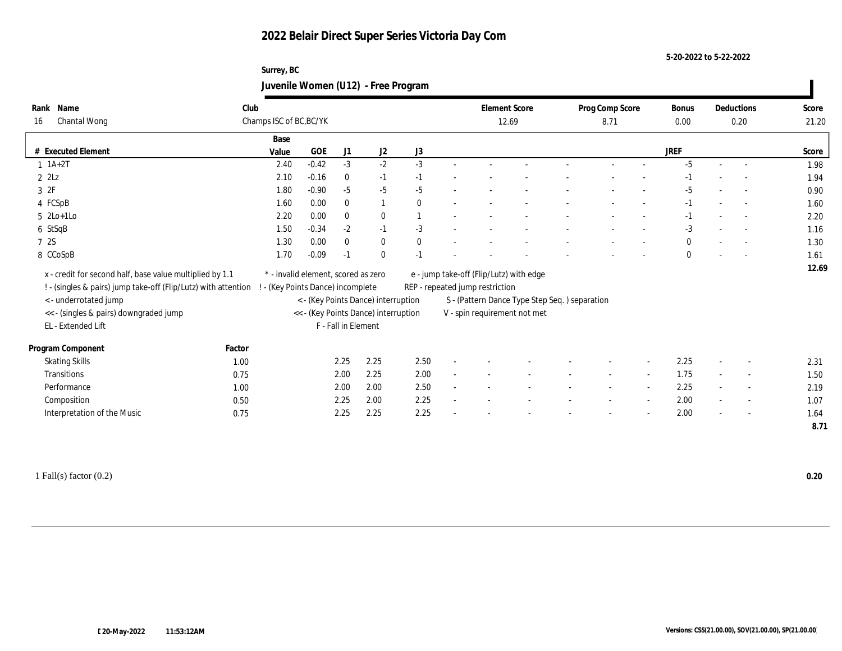#### **5-20-2022 to 5-22-2022**

## **Surrey, BC Juvenile Women (U12) - Free Program**

| Name<br>Rank                                                   | Club   |                                     |         |                     |                                      |              |                                 | <b>Element Score</b>                          | Prog Comp Score |                          | Bonus        |        | Deductions               | Score |
|----------------------------------------------------------------|--------|-------------------------------------|---------|---------------------|--------------------------------------|--------------|---------------------------------|-----------------------------------------------|-----------------|--------------------------|--------------|--------|--------------------------|-------|
| Chantal Wong<br>16                                             |        | Champs ISC of BC, BC/YK             |         |                     |                                      |              |                                 | 12.69                                         | 8.71            |                          | 0.00         |        | 0.20                     | 21.20 |
|                                                                |        | Base                                |         |                     |                                      |              |                                 |                                               |                 |                          |              |        |                          |       |
| # Executed Element                                             |        | Value                               | GOE     | J1                  | J2                                   | J3           |                                 |                                               |                 |                          | <b>JREF</b>  |        |                          | Score |
| $1 \ 1A+2T$                                                    |        | 2.40                                | $-0.42$ | $-3$                | $-2$                                 | $-3$         |                                 |                                               |                 |                          | $-5$         | $\sim$ | $\overline{a}$           | 1.98  |
| $2$ $2$ Lz                                                     |        | 2.10                                | $-0.16$ | $\mathbf{0}$        | $-1$                                 | $-1$         |                                 |                                               |                 |                          | -1           |        | $\overline{\phantom{a}}$ | 1.94  |
| 3 2F                                                           |        | 1.80                                | $-0.90$ | $-5$                | $-5$                                 | $-5$         |                                 |                                               |                 |                          | $-5$         |        |                          | 0.90  |
| 4 FCSpB                                                        |        | 1.60                                | 0.00    | $\mathbf{0}$        | $\mathbf{1}$                         | $\Omega$     |                                 |                                               |                 |                          | $-1$         |        | $\sim$                   | 1.60  |
| $5 \text{2Lo+1Lo}$                                             |        | 2.20                                | 0.00    | $\mathbf{0}$        | $\mathbf{0}$                         |              |                                 |                                               |                 |                          | $-1$         |        | $\sim$                   | 2.20  |
| 6 StSqB                                                        |        | 1.50                                | $-0.34$ | $-2$                | $-1$                                 | $-3$         |                                 |                                               |                 |                          | $-3$         |        | $\overline{\phantom{a}}$ | 1.16  |
| 7 2S                                                           |        | 1.30                                | 0.00    | $\mathbf{0}$        | $\bf{0}$                             | $\mathbf{0}$ |                                 |                                               |                 |                          | $\mathbf{0}$ |        | $\overline{a}$           | 1.30  |
| 8 CCoSpB                                                       |        | 1.70                                | $-0.09$ | $-1$                | $\mathbf{0}$                         | $-1$         |                                 |                                               |                 |                          | $\mathbf{0}$ |        |                          | 1.61  |
| x - credit for second half, base value multiplied by 1.1       |        | * - invalid element, scored as zero |         |                     |                                      |              |                                 | e - jump take-off (Flip/Lutz) with edge       |                 |                          |              |        |                          | 12.69 |
| ! - (singles & pairs) jump take-off (Flip/Lutz) with attention |        | - (Key Points Dance) incomplete     |         |                     |                                      |              | REP - repeated jump restriction |                                               |                 |                          |              |        |                          |       |
| <- underrotated jump                                           |        |                                     |         |                     | < - (Key Points Dance) interruption  |              |                                 | S - (Pattern Dance Type Step Seq.) separation |                 |                          |              |        |                          |       |
| << - (singles & pairs) downgraded jump                         |        |                                     |         |                     | << - (Key Points Dance) interruption |              |                                 | V - spin requirement not met                  |                 |                          |              |        |                          |       |
| EL - Extended Lift                                             |        |                                     |         | F - Fall in Element |                                      |              |                                 |                                               |                 |                          |              |        |                          |       |
|                                                                |        |                                     |         |                     |                                      |              |                                 |                                               |                 |                          |              |        |                          |       |
| Program Component                                              | Factor |                                     |         |                     |                                      |              |                                 |                                               |                 |                          |              |        |                          |       |
| <b>Skating Skills</b>                                          | 1.00   |                                     |         | 2.25                | 2.25                                 | 2.50         |                                 |                                               |                 |                          | 2.25         |        |                          | 2.31  |
| Transitions                                                    | 0.75   |                                     |         | 2.00                | 2.25                                 | 2.00         |                                 |                                               |                 | $\sim$                   | 1.75         |        | $\sim$                   | 1.50  |
| Performance                                                    | 1.00   |                                     |         | 2.00                | 2.00                                 | 2.50         |                                 |                                               |                 | $\overline{\phantom{a}}$ | 2.25         |        | $\overline{\phantom{a}}$ | 2.19  |
| Composition                                                    | 0.50   |                                     |         | 2.25                | 2.00                                 | 2.25         |                                 |                                               |                 |                          | 2.00         |        | $\overline{\phantom{a}}$ | 1.07  |
| Interpretation of the Music                                    | 0.75   |                                     |         | 2.25                | 2.25                                 | 2.25         |                                 |                                               |                 |                          | 2.00         |        | $\sim$                   | 1.64  |
|                                                                |        |                                     |         |                     |                                      |              |                                 |                                               |                 |                          |              |        |                          | 8.71  |

1 Fall(s) factor (0.2) **0.20**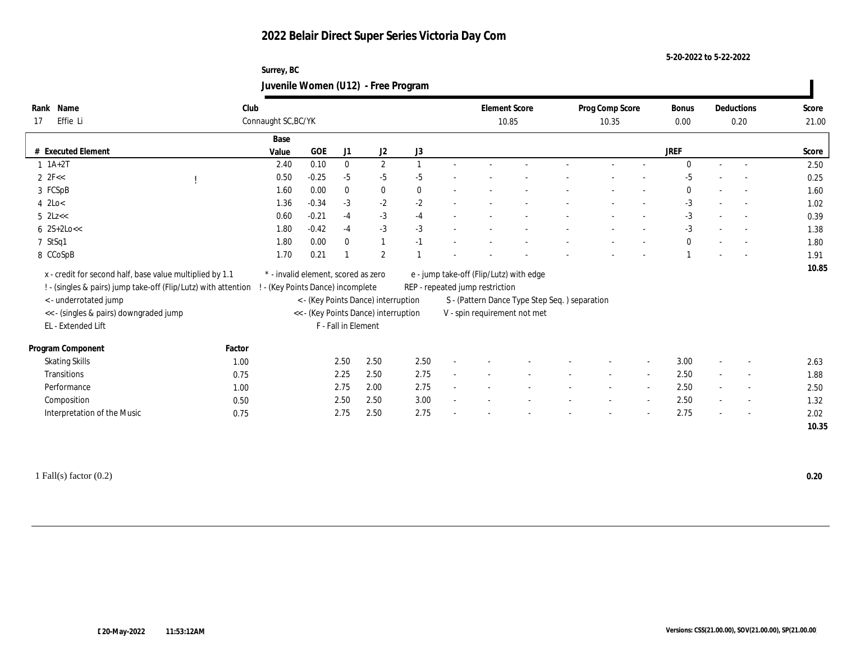#### **5-20-2022 to 5-22-2022**

## **Surrey, BC Juvenile Women (U12) - Free Program**

| Name<br>Rank                                                   | Club   |                                     |            |                     |                                      |                  | <b>Element Score</b>            |                                               | Prog Comp Score |                          | Bonus        |        | Deductions               | Score |
|----------------------------------------------------------------|--------|-------------------------------------|------------|---------------------|--------------------------------------|------------------|---------------------------------|-----------------------------------------------|-----------------|--------------------------|--------------|--------|--------------------------|-------|
| Effie Li<br>17                                                 |        | Connaught SC, BC/YK                 |            |                     |                                      |                  |                                 | 10.85                                         | 10.35           |                          | 0.00         |        | 0.20                     | 21.00 |
|                                                                |        | Base                                |            |                     |                                      |                  |                                 |                                               |                 |                          |              |        |                          |       |
| # Executed Element                                             |        | Value                               | <b>GOE</b> | J1                  | $\mathrm{J}2$                        | $_{\mathrm{J}3}$ |                                 |                                               |                 |                          | <b>JREF</b>  |        |                          | Score |
| $1 \ 1A+2T$                                                    |        | 2.40                                | 0.10       | $\mathbf{0}$        | $\mathbf{2}$                         | $\mathbf{1}$     |                                 |                                               |                 |                          | $\Omega$     | $\sim$ |                          | 2.50  |
| $2 \text{ } 2\text{F} <<$                                      |        | 0.50                                | $-0.25$    | $-5$                | $-5$                                 | $-5$             |                                 |                                               |                 |                          | $-5$         |        |                          | 0.25  |
| 3 FCSpB                                                        |        | 1.60                                | 0.00       | $\bf{0}$            | $\bf{0}$                             | $\mathbf{0}$     |                                 |                                               |                 |                          | $\Omega$     |        |                          | 1.60  |
| $4$ 2Lo $<$                                                    |        | 1.36                                | $-0.34$    | $-3$                | $-2$                                 | $-2$             |                                 |                                               |                 |                          | $-3$         |        | $\sim$                   | 1.02  |
| $5$ $2Lz <$                                                    |        | 0.60                                | $-0.21$    | $-4$                | $-3$                                 | $-4$             |                                 |                                               |                 |                          | $-3$         |        | $\overline{\phantom{a}}$ | 0.39  |
| $6 \ \ 2S+2Lo <<$                                              |        | 1.80                                | $-0.42$    | $-4$                | $-3$                                 | $-3$             |                                 |                                               |                 |                          | $-3$         |        |                          | 1.38  |
| 7 StSq1                                                        |        | 1.80                                | 0.00       | $\mathbf{0}$        | $\mathbf{1}$                         | $-1$             |                                 |                                               |                 |                          | $\mathbf{0}$ |        |                          | 1.80  |
| 8 CCoSpB                                                       |        | 1.70                                | 0.21       |                     | $\mathbf{2}$                         |                  |                                 |                                               |                 |                          |              |        |                          | 1.91  |
| x - credit for second half, base value multiplied by 1.1       |        | * - invalid element, scored as zero |            |                     |                                      |                  |                                 | e - jump take-off (Flip/Lutz) with edge       |                 |                          |              |        |                          | 10.85 |
| ! - (singles & pairs) jump take-off (Flip/Lutz) with attention |        | ! - (Key Points Dance) incomplete   |            |                     |                                      |                  | REP - repeated jump restriction |                                               |                 |                          |              |        |                          |       |
| <- underrotated jump                                           |        |                                     |            |                     | < - (Key Points Dance) interruption  |                  |                                 | S - (Pattern Dance Type Step Seq.) separation |                 |                          |              |        |                          |       |
| << - (singles & pairs) downgraded jump                         |        |                                     |            |                     | << - (Key Points Dance) interruption |                  |                                 | V - spin requirement not met                  |                 |                          |              |        |                          |       |
| EL - Extended Lift                                             |        |                                     |            | F - Fall in Element |                                      |                  |                                 |                                               |                 |                          |              |        |                          |       |
|                                                                |        |                                     |            |                     |                                      |                  |                                 |                                               |                 |                          |              |        |                          |       |
| Program Component                                              | Factor |                                     |            |                     |                                      |                  |                                 |                                               |                 |                          |              |        |                          |       |
| <b>Skating Skills</b>                                          | 1.00   |                                     |            | 2.50                | 2.50                                 | 2.50             |                                 |                                               |                 | $\overline{\phantom{a}}$ | 3.00         |        | $\overline{\phantom{a}}$ | 2.63  |
| Transitions                                                    | 0.75   |                                     |            | 2.25                | 2.50                                 | 2.75             |                                 |                                               |                 | $\sim$                   | 2.50         | $\sim$ | $\overline{\phantom{a}}$ | 1.88  |
| Performance                                                    | 1.00   |                                     |            | 2.75                | 2.00                                 | 2.75             |                                 |                                               |                 | $\sim$                   | 2.50         | $\sim$ | $\sim$                   | 2.50  |
| Composition                                                    | 0.50   |                                     |            | 2.50                | 2.50                                 | 3.00             |                                 |                                               |                 | $\sim$                   | 2.50         |        | $\overline{\phantom{a}}$ | 1.32  |
| Interpretation of the Music                                    | 0.75   |                                     |            | 2.75                | 2.50                                 | 2.75             |                                 |                                               |                 | $\overline{\phantom{a}}$ | 2.75         |        | $\sim$                   | 2.02  |
|                                                                |        |                                     |            |                     |                                      |                  |                                 |                                               |                 |                          |              |        |                          | 10.35 |
|                                                                |        |                                     |            |                     |                                      |                  |                                 |                                               |                 |                          |              |        |                          |       |

1 Fall(s) factor (0.2) **0.20**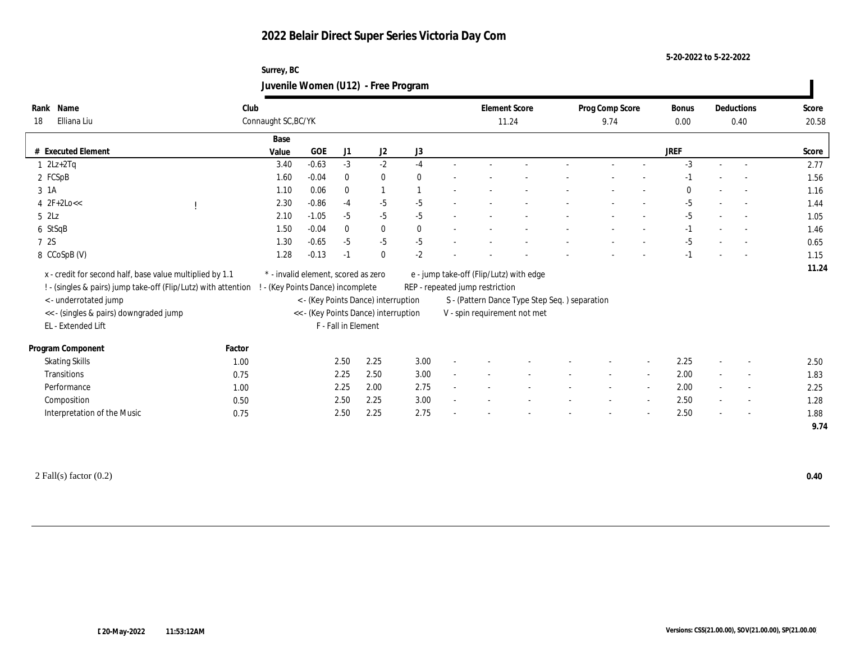#### **5-20-2022 to 5-22-2022**

## **Surrey, BC Juvenile Women (U12) - Free Program**

| Name<br>Rank<br>Elliana Liu<br>18                                                                                          | Club<br>Connaught SC, BC/YK       |                                     |                     |                                      |              | <b>Element Score</b><br>11.24                                              |  | Prog Comp Score<br>9.74 |                          | Bonus<br>0.00 |        | Deductions<br>0.40       | Score<br>20.58 |
|----------------------------------------------------------------------------------------------------------------------------|-----------------------------------|-------------------------------------|---------------------|--------------------------------------|--------------|----------------------------------------------------------------------------|--|-------------------------|--------------------------|---------------|--------|--------------------------|----------------|
|                                                                                                                            | Base                              |                                     |                     |                                      |              |                                                                            |  |                         |                          |               |        |                          |                |
| # Executed Element                                                                                                         | Value                             | <b>GOE</b>                          | J1                  | $\mathrm{J}2$                        | $\rm J3$     |                                                                            |  |                         |                          | <b>JREF</b>   |        |                          | Score          |
| $1 \quad 2Lz+2Tq$                                                                                                          | 3.40                              | $-0.63$                             | $-3$                | $-2$                                 | $-4$         |                                                                            |  |                         |                          | $-3$          | $\sim$ | $\sim$                   | 2.77           |
| 2 FCSpB                                                                                                                    | 1.60                              | $-0.04$                             | $\bf{0}$            | $\bf{0}$                             | $\theta$     |                                                                            |  |                         |                          | $-1$          |        |                          | 1.56           |
| 3 1 A                                                                                                                      | 1.10                              | 0.06                                | $\bf{0}$            | $\overline{1}$                       |              |                                                                            |  |                         |                          | $\Omega$      |        |                          | 1.16           |
| $4 \text{ } 2F+2Lo <<$                                                                                                     | 2.30                              | $-0.86$                             | $-4$                | $-5$                                 | $-5$         |                                                                            |  |                         |                          | $-5$          |        | $\sim$                   | 1.44           |
| $5$ $2\text{L}z$                                                                                                           | 2.10                              | $-1.05$                             | $-5$                | $-5$                                 | $-5$         |                                                                            |  |                         |                          | $-5$          |        | $\overline{\phantom{a}}$ | 1.05           |
| 6 StSqB                                                                                                                    | 1.50                              | $-0.04$                             | $\bf{0}$            | $\bf{0}$                             | $\mathbf{0}$ |                                                                            |  |                         |                          | $-1$          |        |                          | 1.46           |
| 7 2S                                                                                                                       | 1.30                              | $-0.65$                             | $-5$                | $-5$                                 | $-5$         |                                                                            |  |                         |                          | $-5$          |        |                          | 0.65           |
| 8 CCoSpB (V)                                                                                                               | 1.28                              | $-0.13$                             | $-1$                | $\mathbf{0}$                         | $-2$         |                                                                            |  |                         |                          | $-1$          |        |                          | 1.15           |
| x - credit for second half, base value multiplied by 1.1<br>! - (singles & pairs) jump take-off (Flip/Lutz) with attention | ! - (Key Points Dance) incomplete | * - invalid element, scored as zero |                     |                                      |              | e - jump take-off (Flip/Lutz) with edge<br>REP - repeated jump restriction |  |                         |                          |               |        |                          | 11.24          |
| <- underrotated jump                                                                                                       |                                   |                                     |                     | < - (Key Points Dance) interruption  |              | S - (Pattern Dance Type Step Seq.) separation                              |  |                         |                          |               |        |                          |                |
| << - (singles & pairs) downgraded jump                                                                                     |                                   |                                     |                     | << - (Key Points Dance) interruption |              | V - spin requirement not met                                               |  |                         |                          |               |        |                          |                |
| EL - Extended Lift                                                                                                         |                                   |                                     | F - Fall in Element |                                      |              |                                                                            |  |                         |                          |               |        |                          |                |
| Program Component                                                                                                          | Factor                            |                                     |                     |                                      |              |                                                                            |  |                         |                          |               |        |                          |                |
| <b>Skating Skills</b>                                                                                                      | 1.00                              |                                     | 2.50                | 2.25                                 | 3.00         |                                                                            |  |                         | $\overline{\phantom{a}}$ | 2.25          |        | $\overline{\phantom{a}}$ | 2.50           |
| Transitions                                                                                                                | 0.75                              |                                     | 2.25                | 2.50                                 | 3.00         |                                                                            |  |                         | $\sim$                   | 2.00          | $\sim$ | $\overline{\phantom{a}}$ | 1.83           |
| Performance                                                                                                                | 1.00                              |                                     | 2.25                | 2.00                                 | 2.75         |                                                                            |  |                         | $\sim$                   | 2.00          | $\sim$ | $\sim$                   | 2.25           |
| Composition                                                                                                                | 0.50                              |                                     | 2.50                | 2.25                                 | 3.00         |                                                                            |  |                         | $\sim$                   | 2.50          |        | $\overline{\phantom{a}}$ | 1.28           |
| Interpretation of the Music                                                                                                | 0.75                              |                                     | 2.50                | 2.25                                 | 2.75         |                                                                            |  |                         | $\overline{\phantom{a}}$ | 2.50          |        | $\sim$                   | 1.88           |
|                                                                                                                            |                                   |                                     |                     |                                      |              |                                                                            |  |                         |                          |               |        |                          | 9.74           |

2 Fall(s) factor (0.2) **0.40**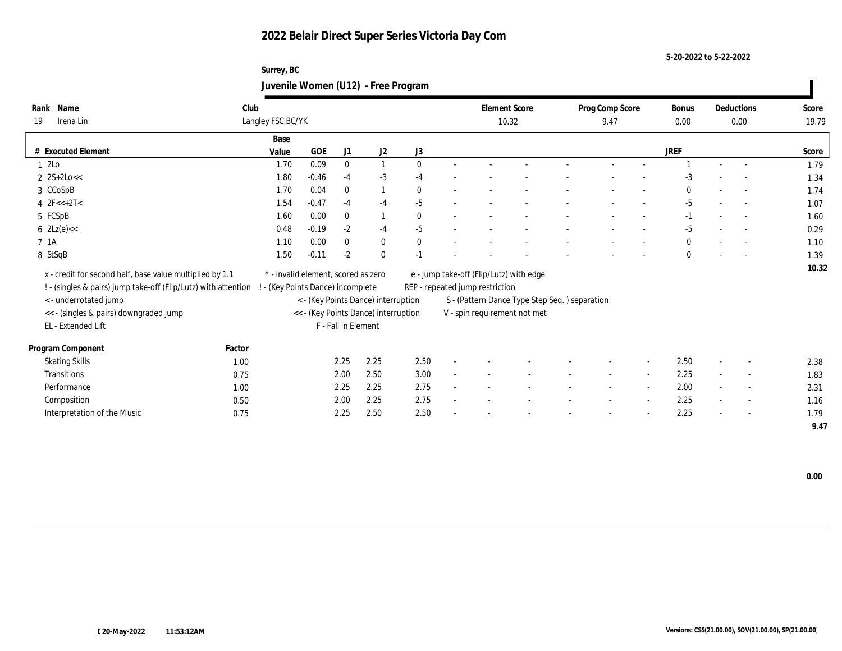**5-20-2022 to 5-22-2022**

## **Surrey, BC Juvenile Women (U12) - Free Program**

| Name<br>Rank                                                   | Club   |                                     |            |                     |                                      |              |                                 | <b>Element Score</b>                           | Prog Comp Score |        | Bonus        | Deductions               | Score |
|----------------------------------------------------------------|--------|-------------------------------------|------------|---------------------|--------------------------------------|--------------|---------------------------------|------------------------------------------------|-----------------|--------|--------------|--------------------------|-------|
| Irena Lin<br>19                                                |        | Langley FSC, BC/YK                  |            |                     |                                      |              |                                 | 10.32                                          | 9.47            |        | 0.00         | 0.00                     | 19.79 |
|                                                                |        | Base                                |            |                     |                                      |              |                                 |                                                |                 |        |              |                          |       |
| # Executed Element                                             |        | Value                               | <b>GOE</b> | J1                  | $\mathrm{J}2$                        | J3           |                                 |                                                |                 |        | <b>JREF</b>  |                          | Score |
| 1 2Lo                                                          |        | 1.70                                | 0.09       | $\mathbf{0}$        | $\mathbf{1}$                         | $\theta$     |                                 |                                                |                 |        |              | $\overline{\phantom{a}}$ | 1.79  |
| $2 \text{ } 2S+2Lo <<$                                         |        | 1.80                                | $-0.46$    | $-4$                | $-3$                                 | $-4$         |                                 |                                                |                 |        | $-3$         |                          | 1.34  |
| 3 CCoSpB                                                       |        | 1.70                                | 0.04       | $\mathbf{0}$        | $\mathbf{1}$                         | $\mathbf{0}$ |                                 |                                                |                 |        | $\Omega$     |                          | 1.74  |
| 4 $2F<<+2T<$                                                   |        | 1.54                                | $-0.47$    | $-4$                | $-4$                                 | $-5$         |                                 |                                                |                 |        | $-5$         | $\sim$                   | 1.07  |
| 5 FCSpB                                                        |        | 1.60                                | 0.00       | $\mathbf{0}$        | $\overline{1}$                       | $\theta$     |                                 |                                                |                 |        | $-1$         | $\sim$                   | 1.60  |
| $6 \text{ } 2 \text{Lz}(e) \ll$                                |        | 0.48                                | $-0.19$    | $-2$                | $-4$                                 | $-5$         |                                 |                                                |                 |        | $-5$         |                          | 0.29  |
| 7 1A                                                           |        | 1.10                                | 0.00       | $\mathbf{0}$        | $\bf{0}$                             | $\mathbf{0}$ |                                 |                                                |                 |        | $\mathbf{0}$ |                          | 1.10  |
| 8 StSqB                                                        |        | 1.50                                | $-0.11$    | $-2$                | $\mathbf{0}$                         | $-1$         |                                 |                                                |                 |        | $\mathbf{0}$ |                          | 1.39  |
| x - credit for second half, base value multiplied by 1.1       |        | * - invalid element, scored as zero |            |                     |                                      |              |                                 | e - jump take-off (Flip/Lutz) with edge        |                 |        |              |                          | 10.32 |
| ! - (singles & pairs) jump take-off (Flip/Lutz) with attention |        | ! - (Key Points Dance) incomplete   |            |                     |                                      |              | REP - repeated jump restriction |                                                |                 |        |              |                          |       |
| < - underrotated jump                                          |        |                                     |            |                     | < - (Key Points Dance) interruption  |              |                                 | S - (Pattern Dance Type Step Seq. ) separation |                 |        |              |                          |       |
| << - (singles & pairs) downgraded jump                         |        |                                     |            |                     | << - (Key Points Dance) interruption |              |                                 | V - spin requirement not met                   |                 |        |              |                          |       |
| EL - Extended Lift                                             |        |                                     |            | F - Fall in Element |                                      |              |                                 |                                                |                 |        |              |                          |       |
|                                                                |        |                                     |            |                     |                                      |              |                                 |                                                |                 |        |              |                          |       |
| Program Component                                              | Factor |                                     |            |                     |                                      |              |                                 |                                                |                 |        |              |                          |       |
| <b>Skating Skills</b>                                          | 1.00   |                                     |            | 2.25                | 2.25                                 | 2.50         |                                 |                                                |                 |        | 2.50         |                          | 2.38  |
| Transitions                                                    | 0.75   |                                     |            | 2.00                | 2.50                                 | 3.00         |                                 |                                                |                 | $\sim$ | 2.25         | $\overline{\phantom{a}}$ | 1.83  |
| Performance                                                    | 1.00   |                                     |            | 2.25                | 2.25                                 | 2.75         |                                 |                                                |                 |        | 2.00         | $\overline{\phantom{a}}$ | 2.31  |
| Composition                                                    | 0.50   |                                     |            | 2.00                | 2.25                                 | 2.75         |                                 |                                                |                 |        | 2.25         | $\overline{\phantom{a}}$ | 1.16  |
| Interpretation of the Music                                    | 0.75   |                                     |            | 2.25                | 2.50                                 | 2.50         |                                 |                                                |                 |        | 2.25         | $\sim$                   | 1.79  |
|                                                                |        |                                     |            |                     |                                      |              |                                 |                                                |                 |        |              |                          | 9.47  |